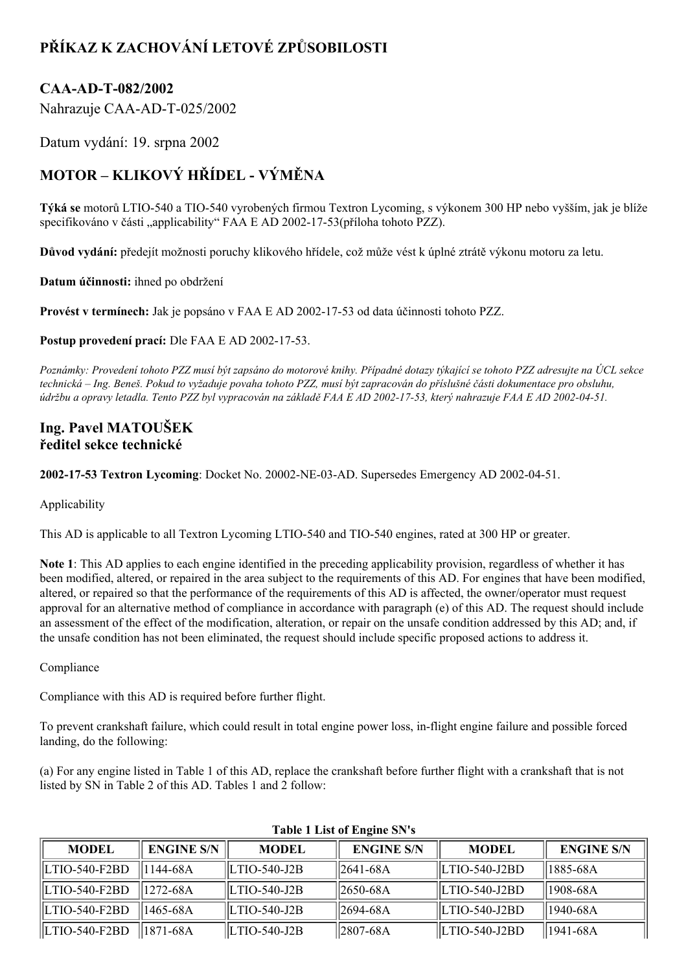## **PŘÍKAZ K ZACHOVÁNÍ LETOVÉ ZPŮSOBILOSTI**

## CAA-AD-T-082/2002

Nahrazuje CAA-AD-T-025/2002

Datum vydání: 19. srpna 2002

## **MOTOR – KLIKOVÝ HŘÍDEL VÝMĚNA**

**Týká se** motorů LTIO540 a TIO540 vyrobených firmou Textron Lycoming, s výkonem 300 HP nebo vyšším, jak je blíže specifikováno v části "applicability" FAA E AD 2002-17-53(příloha tohoto PZZ).

**Důvod vydání:** předejít možnosti poruchy klikového hřídele, což může vést k úplné ztrátě výkonu motoru za letu.

**Datum účinnosti:** ihned po obdržení

**Provést v termínech:** Jak je popsáno v FAA E AD 2002-17-53 od data účinnosti tohoto PZZ.

**Postup provedení prací:** Dle FAA E AD 2002-17-53.

Poznámky: Provedení tohoto PZZ musí být zapsáno do motorové knihy. Případné dotazy týkající se tohoto PZZ adresujte na ÚCL sekce technická – Ing. Beneš. Pokud to vyžaduje povaha tohoto PZZ, musí být zapracován do příslušné části dokumentace pro obsluhu, údržbu a opravy letadla. Tento PZZ byl vypracován na základě FAA E AD 2002-17-53, který nahrazuje FAA E AD 2002-04-51.

## **Ing. Pavel MATOUŠEK ředitel sekce technické**

**2002-17-53 Textron Lycoming**: Docket No. 20002-NE-03-AD. Supersedes Emergency AD 2002-04-51.

Applicability

This AD is applicable to all Textron Lycoming LTIO-540 and TIO-540 engines, rated at 300 HP or greater.

**Note 1**: This AD applies to each engine identified in the preceding applicability provision, regardless of whether it has been modified, altered, or repaired in the area subject to the requirements of this AD. For engines that have been modified, altered, or repaired so that the performance of the requirements of this AD is affected, the owner/operator must request approval for an alternative method of compliance in accordance with paragraph (e) of this AD. The request should include an assessment of the effect of the modification, alteration, or repair on the unsafe condition addressed by this AD; and, if the unsafe condition has not been eliminated, the request should include specific proposed actions to address it.

Compliance

Compliance with this AD is required before further flight.

To prevent crankshaft failure, which could result in total engine power loss, in-flight engine failure and possible forced landing, do the following:

(a) For any engine listed in Table 1 of this AD, replace the crankshaft before further flight with a crankshaft that is not listed by SN in Table 2 of this AD. Tables 1 and 2 follow:

| <b>MODEL</b>      | <b>ENGINE S/N</b> | <b>MODEL</b>  | <b>ENGINE S/N</b> | <b>MODEL</b>          | <b>ENGINE S/N</b> |
|-------------------|-------------------|---------------|-------------------|-----------------------|-------------------|
| LTIO-540-F2BD     | 1144-68A          | ILTIO-540-J2B | $  2641-68A$      | <b>ILTIO-540-J2BD</b> | 1885-68A          |
| LTIO-540-F2BD     | 11272-68A         | LTIO-540-J2B  | $  2650-68A$      | ILTIO-540-J2BD        | 1908-68A          |
| LTIO-540-F2BD     | 1465-68A          | LTIO-540-J2B  | 12694-68A         | LTIO-540-J2BD         | 1940-68A          |
| $ LTIO-540-F2BD $ | 1871-68A          | LTIO-540-J2B  | $  2807-68A$      | $LTIO-540-J2BD$       | 1941-68A          |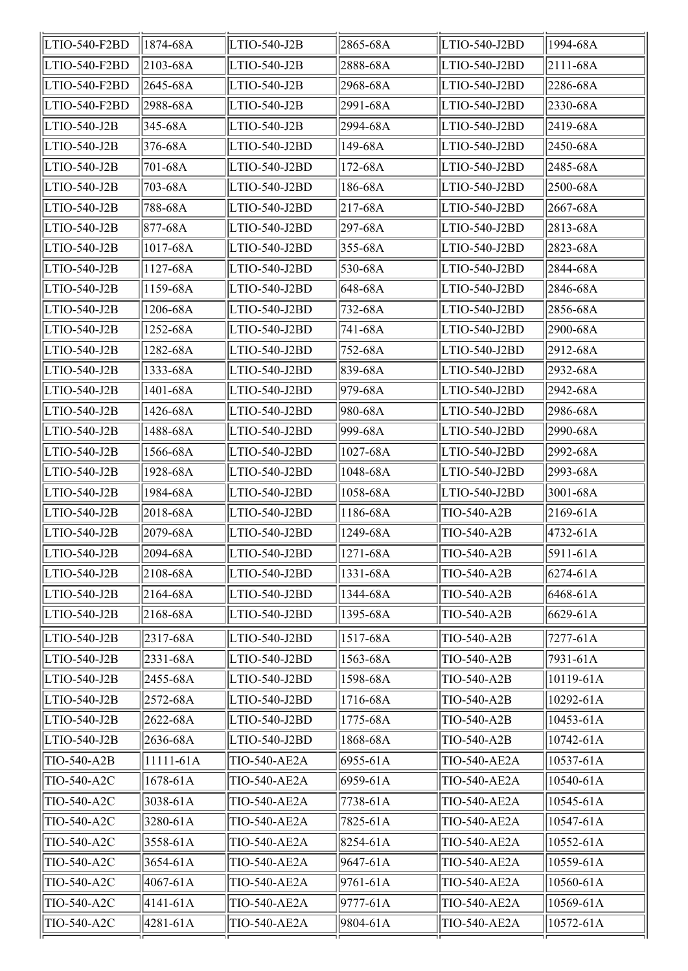| LTIO-540-F2BD  | 1874-68A           | LTIO-540-J2B        | 2865-68A            | LTIO-540-J2BD             | 1994-68A          |
|----------------|--------------------|---------------------|---------------------|---------------------------|-------------------|
| LTIO-540-F2BD  | 2103-68A           | LTIO-540-J2B        | 2888-68A            | LTIO-540-J2BD             | $ 2111 - 68A$     |
| LTIO-540-F2BD  | 2645-68A           | LTIO-540-J2B        | 2968-68A            | LTIO-540-J2BD             | 2286-68A          |
| LTIO-540-F2BD  | 2988-68A           | LTIO-540-J2B        | 2991-68A            | LTIO-540-J2BD             | 2330-68A          |
| LTIO-540-J2B   | 345-68A            | LTIO-540-J2B        | 2994-68A            | LTIO-540-J2BD             | 2419-68A          |
| LTIO-540-J2B   | 376-68A            | LTIO-540-J2BD       | 149-68A             | LTIO-540-J2BD             | 2450-68A          |
| LTIO-540-J2B   | 701-68A            | LTIO-540-J2BD       | 172-68A             | LTIO-540-J2BD             | 2485-68A          |
| LTIO-540-J2B   | 703-68A            | LTIO-540-J2BD       | 186-68A             | LTIO-540-J2BD             | 2500-68A          |
| LTIO-540-J2B   | 788-68A            | LTIO-540-J2BD       | $217 - 68A$         | LTIO-540-J2BD             | 2667-68A          |
| LTIO-540-J2B   | 877-68A            | LTIO-540-J2BD       | 297-68A             | LTIO-540-J2BD             | 2813-68A          |
| LTIO-540-J2B   | 1017-68A           | LTIO-540-J2BD       | $355 - 68A$         | LTIO-540-J2BD             | 2823-68A          |
| LTIO-540-J2B   | 1127-68A           | LTIO-540-J2BD       | 530-68A             | LTIO-540-J2BD             | 2844-68A          |
| LTIO-540-J2B   | 1159-68A           | LTIO-540-J2BD       | 648-68A             | LTIO-540-J2BD             | 2846-68A          |
| LTIO-540-J2B   | 1206-68A           | LTIO-540-J2BD       | 732-68A             | LTIO-540-J2BD             | 2856-68A          |
| LTIO-540-J2B   | 1252-68A           | LTIO-540-J2BD       | 741-68A             | LTIO-540-J2BD             | 2900-68A          |
| LTIO-540-J2B   | 1282-68A           | LTIO-540-J2BD       | 752-68A             | LTIO-540-J2BD             | 2912-68A          |
| LTIO-540-J2B   | 1333-68A           | LTIO-540-J2BD       | 839-68A             | LTIO-540-J2BD             | 2932-68A          |
| LTIO-540-J2B   | 1401-68A           | LTIO-540-J2BD       | 979-68A             | LTIO-540-J2BD             | 2942-68A          |
| LTIO-540-J2B   | 1426-68A           | LTIO-540-J2BD       | 980-68A             | LTIO-540-J2BD             | 2986-68A          |
| LTIO-540-J2B   | 1488-68A           | LTIO-540-J2BD       | 999-68A             | LTIO-540-J2BD             | 2990-68A          |
| LTIO-540-J2B   | 1566-68A           | LTIO-540-J2BD       | 1027-68A            | LTIO-540-J2BD             | 2992-68A          |
| LTIO-540-J2B   | 1928-68A           | LTIO-540-J2BD       | 1048-68A            | LTIO-540-J2BD             | 2993-68A          |
| LTIO-540-J2B   | 1984-68A           | LTIO-540-J2BD       | 1058-68A            | LTIO-540-J2BD             | 3001-68A          |
| LTIO-540-J2B   | 2018-68A           | LTIO-540-J2BD       | 1186-68A            | TIO-540-A2B               | $2169 - 61A$      |
| LTIO-540-J2B   | 2079-68A           | LTIO-540-J2BD       | 1249-68A            | TIO-540-A2B               | 4732-61A          |
| LTIO-540-J2B   | $\sqrt{2094}$ -68A | $LTIO-540-J2BD$     | $\sqrt{1271} - 68A$ | $\overline{TIO-540}$ -A2B | $\sqrt{5911-61A}$ |
| LTIO-540-J2B   | 2108-68A           | LTIO-540-J2BD       | 1331-68A            | TIO-540-A2B               | $6274 - 61A$      |
| $LTIO-540-J2B$ | 2164-68A           | LTIO-540-J2BD       | 1344-68A            | TIO-540-A2B               | 6468-61A          |
| LTIO-540-J2B   | 2168-68A           | LTIO-540-J2BD       | 1395-68A            | TIO-540-A2B               | 6629-61A          |
| LTIO-540-J2B   | 2317-68A           | LTIO-540-J2BD       | 1517-68A            | TIO-540-A2B               | 7277-61A          |
| LTIO-540-J2B   | 2331-68A           | LTIO-540-J2BD       | 1563-68A            | TIO-540-A2B               | 7931-61A          |
| LTIO-540-J2B   | 2455-68A           | LTIO-540-J2BD       | 1598-68A            | TIO-540-A2B               | 10119-61A         |
| LTIO-540-J2B   | 2572-68A           | LTIO-540-J2BD       | 1716-68A            | TIO-540-A2B               | 10292-61A         |
| LTIO-540-J2B   | 2622-68A           | LTIO-540-J2BD       | 1775-68A            | TIO-540-A2B               | 10453-61A         |
| LTIO-540-J2B   | 2636-68A           | LTIO-540-J2BD       | 1868-68A            | TIO-540-A2B               | 10742-61A         |
| TIO-540-A2B    | 11111-61A          | TIO-540-AE2A        | 6955-61A            | TIO-540-AE2A              | 10537-61A         |
| TIO-540-A2C    | 1678-61A           | <b>TIO-540-AE2A</b> | 6959-61A            | TIO-540-AE2A              | 10540-61A         |
| TIO-540-A2C    | 3038-61A           | TIO-540-AE2A        | 7738-61A            | TIO-540-AE2A              | 10545-61A         |
| TIO-540-A2C    | 3280-61A           | <b>TIO-540-AE2A</b> | 7825-61A            | TIO-540-AE2A              | 10547-61A         |
| TIO-540-A2C    | 3558-61A           | TIO-540-AE2A        | 8254-61A            | TIO-540-AE2A              | 10552-61A         |
| TIO-540-A2C    | 3654-61A           | <b>TIO-540-AE2A</b> | 9647-61A            | TIO-540-AE2A              | 10559-61A         |
| TIO-540-A2C    | 4067-61A           | <b>TIO-540-AE2A</b> | 9761-61A            | TIO-540-AE2A              | 10560-61A         |
| TIO-540-A2C    | 4141-61A           | <b>TIO-540-AE2A</b> | 9777-61A            | TIO-540-AE2A              | 10569-61A         |
| TIO-540-A2C    | 4281-61A           | TIO-540-AE2A        | 9804-61A            | TIO-540-AE2A              | 10572-61A         |
|                |                    |                     |                     |                           |                   |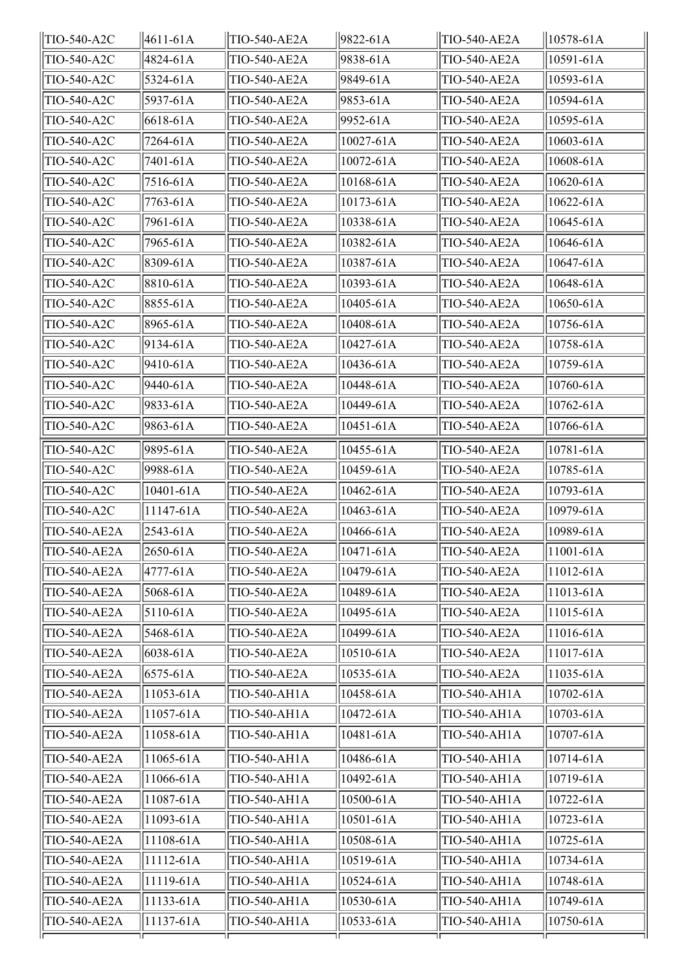| TIO-540-A2C         | $ 4611 - 61A $  | TIO-540-AE2A        | 9822-61A  | TIO-540-AE2A        | $  10578-61A$   |
|---------------------|-----------------|---------------------|-----------|---------------------|-----------------|
| TIO-540-A2C         | 4824-61A        | <b>TIO-540-AE2A</b> | 9838-61A  | TIO-540-AE2A        | 10591-61A       |
| TIO-540-A2C         | 5324-61A        | <b>TIO-540-AE2A</b> | 9849-61A  | <b>TIO-540-AE2A</b> | $ 10593 - 61A $ |
| TIO-540-A2C         | 5937-61A        | TIO-540-AE2A        | 9853-61A  | TIO-540-AE2A        | 10594-61A       |
| TIO-540-A2C         | 6618-61A        | TIO-540-AE2A        | 9952-61A  | TIO-540-AE2A        | 10595-61A       |
| TIO-540-A2C         | 7264-61A        | TIO-540-AE2A        | 10027-61A | TIO-540-AE2A        | $10603 - 61A$   |
| TIO-540-A2C         | 7401-61A        | <b>TIO-540-AE2A</b> | 10072-61A | TIO-540-AE2A        | 10608-61A       |
| TIO-540-A2C         | 7516-61A        | <b>TIO-540-AE2A</b> | 10168-61A | TIO-540-AE2A        | $10620 - 61A$   |
| TIO-540-A2C         | 7763-61A        | <b>TIO-540-AE2A</b> | 10173-61A | TIO-540-AE2A        | $10622 - 61A$   |
| TIO-540-A2C         | 7961-61A        | <b>TIO-540-AE2A</b> | 10338-61A | <b>TIO-540-AE2A</b> | $10645 - 61A$   |
| TIO-540-A2C         | 7965-61A        | <b>TIO-540-AE2A</b> | 10382-61A | TIO-540-AE2A        | 10646-61A       |
| TIO-540-A2C         | 8309-61A        | TIO-540-AE2A        | 10387-61A | TIO-540-AE2A        | 10647-61A       |
| TIO-540-A2C         | 8810-61A        | <b>TIO-540-AE2A</b> | 10393-61A | TIO-540-AE2A        | 10648-61A       |
| TIO-540-A2C         | 8855-61A        | <b>TIO-540-AE2A</b> | 10405-61A | <b>TIO-540-AE2A</b> | 10650-61A       |
| TIO-540-A2C         | 8965-61A        | TIO-540-AE2A        | 10408-61A | <b>TIO-540-AE2A</b> | $ 10756 - 61A $ |
| TIO-540-A2C         | $9134 - 61A$    | <b>TIO-540-AE2A</b> | 10427-61A | TIO-540-AE2A        | 10758-61A       |
| TIO-540-A2C         | 9410-61A        | TIO-540-AE2A        | 10436-61A | TIO-540-AE2A        | 10759-61A       |
| TIO-540-A2C         | 9440-61A        | TIO-540-AE2A        | 10448-61A | <b>TIO-540-AE2A</b> | $ 10760 - 61A $ |
| TIO-540-A2C         | 9833-61A        | <b>TIO-540-AE2A</b> | 10449-61A | <b>TIO-540-AE2A</b> | $10762 - 61A$   |
| TIO-540-A2C         | 9863-61A        | <b>TIO-540-AE2A</b> | 10451-61A | <b>TIO-540-AE2A</b> | 10766-61A       |
| TIO-540-A2C         | 9895-61A        | TIO-540-AE2A        | 10455-61A | TIO-540-AE2A        | $ 10781 - 61A $ |
| TIO-540-A2C         | 9988-61A        | <b>TIO-540-AE2A</b> | 10459-61A | TIO-540-AE2A        | 10785-61A       |
| TIO-540-A2C         | 10401-61A       | TIO-540-AE2A        | 10462-61A | TIO-540-AE2A        | 10793-61A       |
| TIO-540-A2C         | $ 11147-61A $   | <b>TIO-540-AE2A</b> | 10463-61A | <b>TIO-540-AE2A</b> | 10979-61A       |
| TIO-540-AE2A        | $ 2543 - 61A $  | TIO-540-AE2A        | 10466-61A | <b>TIO-540-AE2A</b> | 10989-61A       |
| TIO-540-AE2A        | $ 2650 - 61A $  | TIO-540-AE2A        | 10471-61A | TIO-540-AE2A        | 11001-61A       |
| <b>TIO-540-AE2A</b> | 4777-61A        | TIO-540-AE2A        | 10479-61A | <b>TIO-540-AE2A</b> | $ 11012 - 61A $ |
| <b>TIO-540-AE2A</b> | 5068-61A        | <b>TIO-540-AE2A</b> | 10489-61A | <b>TIO-540-AE2A</b> | $ 11013 - 61A $ |
| <b>TIO-540-AE2A</b> | $5110-61A$      | <b>TIO-540-AE2A</b> | 10495-61A | TIO-540-AE2A        | $ 11015 - 61A $ |
| <b>TIO-540-AE2A</b> | 5468-61A        | <b>TIO-540-AE2A</b> | 10499-61A | TIO-540-AE2A        | $ 11016 - 61A $ |
| <b>TIO-540-AE2A</b> | $ 6038 - 61A $  | <b>TIO-540-AE2A</b> | 10510-61A | <b>TIO-540-AE2A</b> | $ 11017 - 61A $ |
| <b>TIO-540-AE2A</b> | 6575-61A        | <b>TIO-540-AE2A</b> | 10535-61A | <b>TIO-540-AE2A</b> | $ 11035 - 61A $ |
| <b>TIO-540-AE2A</b> | $ 11053 - 61A $ | <b>TIO-540-AH1A</b> | 10458-61A | TIO-540-AH1A        | $ 10702 - 61A $ |
| <b>TIO-540-AE2A</b> | $ 11057-61A $   | TIO-540-AH1A        | 10472-61A | TIO-540-AH1A        | $ 10703 - 61A $ |
| <b>TIO-540-AE2A</b> | $ 11058 - 61A $ | TIO-540-AH1A        | 10481-61A | TIO-540-AH1A        | $ 10707 - 61A $ |
| <b>TIO-540-AE2A</b> | $11065 - 61A$   | <b>TIO-540-AH1A</b> | 10486-61A | TIO-540-AH1A        | $ 10714 - 61A $ |
| <b>TIO-540-AE2A</b> | $11066 - 61A$   | TIO-540-AH1A        | 10492-61A | TIO-540-AH1A        | 10719-61A       |
| TIO-540-AE2A        | $ 11087 - 61A $ | TIO-540-AH1A        | 10500-61A | TIO-540-AH1A        | $10722 - 61A$   |
| <b>TIO-540-AE2A</b> | $ 11093 - 61A $ | TIO-540-AH1A        | 10501-61A | TIO-540-AH1A        | $ 10723 - 61A $ |
| <b>TIO-540-AE2A</b> | $ 11108-61A $   | <b>TIO-540-AH1A</b> | 10508-61A | TIO-540-AH1A        | $10725 - 61A$   |
| <b>TIO-540-AE2A</b> | $ 11112-61A $   | TIO-540-AH1A        | 10519-61A | TIO-540-AH1A        | $ 10734 - 61A $ |
| <b>TIO-540-AE2A</b> | $ 11119-61A $   | TIO-540-AH1A        | 10524-61A | TIO-540-AH1A        | 10748-61A       |
| <b>TIO-540-AE2A</b> | $ 11133-61A $   | TIO-540-AH1A        | 10530-61A | TIO-540-AH1A        | 10749-61A       |
| <b>TIO-540-AE2A</b> | $ 11137-61A $   | <b>TIO-540-AH1A</b> | 10533-61A | TIO-540-AH1A        | $ 10750 - 61A $ |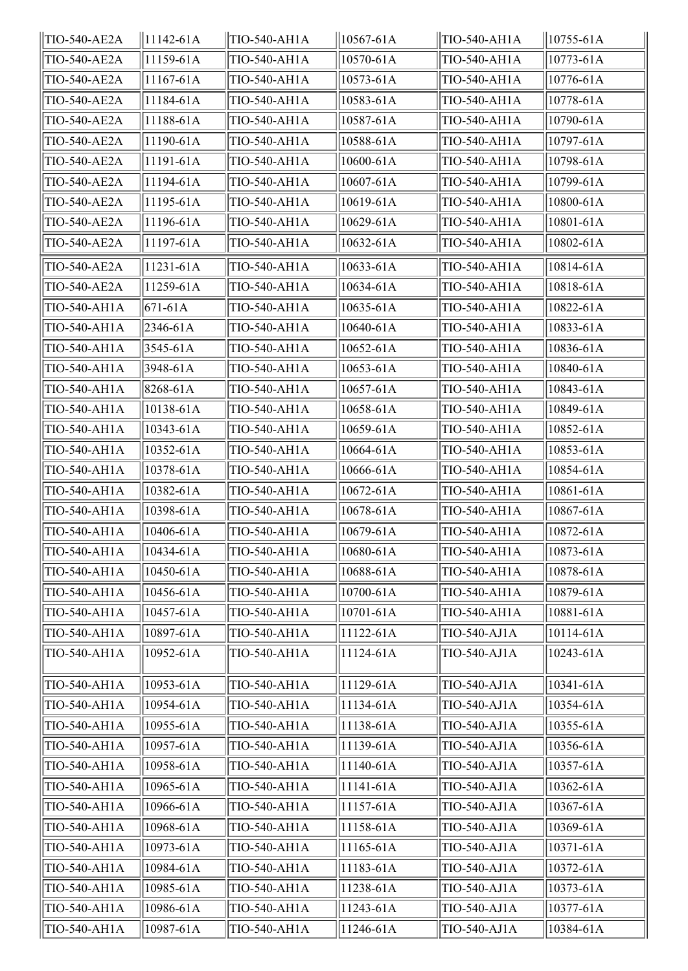| TIO-540-AE2A        | $ 11142 - 61A $ | TIO-540-AH1A        | 10567-61A     | TIO-540-AH1A | $10755 - 61A$      |
|---------------------|-----------------|---------------------|---------------|--------------|--------------------|
| <b>TIO-540-AE2A</b> | 11159-61A       | TIO-540-AH1A        | 10570-61A     | TIO-540-AH1A | 10773-61A          |
| TIO-540-AE2A        | 11167-61A       | TIO-540-AH1A        | 10573-61A     | TIO-540-AH1A | 10776-61A          |
| <b>TIO-540-AE2A</b> | 11184-61A       | TIO-540-AH1A        | 10583-61A     | TIO-540-AH1A | 10778-61A          |
| <b>TIO-540-AE2A</b> | 11188-61A       | TIO-540-AH1A        | 10587-61A     | TIO-540-AH1A | 10790-61A          |
| TIO-540-AE2A        | 11190-61A       | TIO-540-AH1A        | 10588-61A     | TIO-540-AH1A | 10797-61A          |
| <b>TIO-540-AE2A</b> | 11191-61A       | TIO-540-AH1A        | 10600-61A     | TIO-540-AH1A | 10798-61A          |
| TIO-540-AE2A        | 11194-61A       | TIO-540-AH1A        | 10607-61A     | TIO-540-AH1A | 10799-61A          |
| <b>TIO-540-AE2A</b> | 11195-61A       | TIO-540-AH1A        | 10619-61A     | TIO-540-AH1A | 10800-61A          |
| TIO-540-AE2A        | 11196-61A       | TIO-540-AH1A        | 10629-61A     | TIO-540-AH1A | 10801-61A          |
| <b>TIO-540-AE2A</b> | 11197-61A       | TIO-540-AH1A        | 10632-61A     | TIO-540-AH1A | 10802-61A          |
| TIO-540-AE2A        | 11231-61A       | TIO-540-AH1A        | 10633-61A     | TIO-540-AH1A | 10814-61A          |
| <b>TIO-540-AE2A</b> | 11259-61A       | TIO-540-AH1A        | 10634-61A     | TIO-540-AH1A | 10818-61A          |
| TIO-540-AH1A        | $671 - 61A$     | TIO-540-AH1A        | 10635-61A     | TIO-540-AH1A | 10822-61A          |
| TIO-540-AH1A        | 2346-61A        | TIO-540-AH1A        | 10640-61A     | TIO-540-AH1A | 10833-61A          |
| TIO-540-AH1A        | 3545-61A        | TIO-540-AH1A        | 10652-61A     | TIO-540-AH1A | 10836-61A          |
| TIO-540-AH1A        | 3948-61A        | TIO-540-AH1A        | 10653-61A     | TIO-540-AH1A | 10840-61A          |
| TIO-540-AH1A        | 8268-61A        | TIO-540-AH1A        | 10657-61A     | TIO-540-AH1A | 10843-61A          |
| TIO-540-AH1A        | 10138-61A       | TIO-540-AH1A        | 10658-61A     | TIO-540-AH1A | 10849-61A          |
| TIO-540-AH1A        | 10343-61A       | TIO-540-AH1A        | 10659-61A     | TIO-540-AH1A | 10852-61A          |
| TIO-540-AH1A        | 10352-61A       | TIO-540-AH1A        | 10664-61A     | TIO-540-AH1A | 10853-61A          |
| TIO-540-AH1A        | 10378-61A       | TIO-540-AH1A        | 10666-61A     | TIO-540-AH1A | 10854-61A          |
| <b>TIO-540-AH1A</b> | 10382-61A       | TIO-540-AH1A        | 10672-61A     | TIO-540-AH1A | 10861-61A          |
| TIO-540-AH1A        | 10398-61A       | TIO-540-AH1A        | 10678-61A     | TIO-540-AH1A | 10867-61A          |
| TIO-540-AH1A        | 10406-61A       | TIO-540-AH1A        | 10679-61A     | TIO-540-AH1A | 10872-61A          |
| TIO-540-AH1A        | 10434-61A       | TIO-540-AH1A        | $10680 - 61A$ | TIO-540-AH1A | $\sqrt{10873-61A}$ |
| TIO-540-AH1A        | 10450-61A       | TIO-540-AH1A        | 10688-61A     | TIO-540-AH1A | 10878-61A          |
| TIO-540-AH1A        | 10456-61A       | TIO-540-AH1A        | 10700-61A     | TIO-540-AH1A | 10879-61A          |
| <b>TIO-540-AH1A</b> | 10457-61A       | TIO-540-AH1A        | 10701-61A     | TIO-540-AH1A | 10881-61A          |
| TIO-540-AH1A        | 10897-61A       | TIO-540-AH1A        | 11122-61A     | TIO-540-AJ1A | 10114-61A          |
| <b>TIO-540-AH1A</b> | 10952-61A       | TIO-540-AH1A        | 11124-61A     | TIO-540-AJ1A | 10243-61A          |
| TIO-540-AH1A        | 10953-61A       | <b>TIO-540-AH1A</b> | 11129-61A     | TIO-540-AJ1A | 10341-61A          |
| TIO-540-AH1A        | 10954-61A       | TIO-540-AH1A        | 11134-61A     | TIO-540-AJ1A | 10354-61A          |
| TIO-540-AH1A        | 10955-61A       | TIO-540-AH1A        | 11138-61A     | TIO-540-AJ1A | 10355-61A          |
| TIO-540-AH1A        | 10957-61A       | TIO-540-AH1A        | 11139-61A     | TIO-540-AJ1A | 10356-61A          |
| TIO-540-AH1A        | 10958-61A       | TIO-540-AH1A        | 11140-61A     | TIO-540-AJ1A | 10357-61A          |
| TIO-540-AH1A        | 10965-61A       | TIO-540-AH1A        | 11141-61A     | TIO-540-AJ1A | 10362-61A          |
| TIO-540-AH1A        | 10966-61A       | TIO-540-AH1A        | 11157-61A     | TIO-540-AJ1A | 10367-61A          |
| TIO-540-AH1A        | 10968-61A       | TIO-540-AH1A        | 11158-61A     | TIO-540-AJ1A | 10369-61A          |
| TIO-540-AH1A        | 10973-61A       | TIO-540-AH1A        | 11165-61A     | TIO-540-AJ1A | 10371-61A          |
| TIO-540-AH1A        | 10984-61A       | TIO-540-AH1A        | 11183-61A     | TIO-540-AJ1A | 10372-61A          |
| TIO-540-AH1A        | 10985-61A       | TIO-540-AH1A        | 11238-61A     | TIO-540-AJ1A | 10373-61A          |
| TIO-540-AH1A        | 10986-61A       | TIO-540-AH1A        | 11243-61A     | TIO-540-AJ1A | 10377-61A          |
| TIO-540-AH1A        | 10987-61A       | TIO-540-AH1A        | 11246-61A     | TIO-540-AJ1A | 10384-61A          |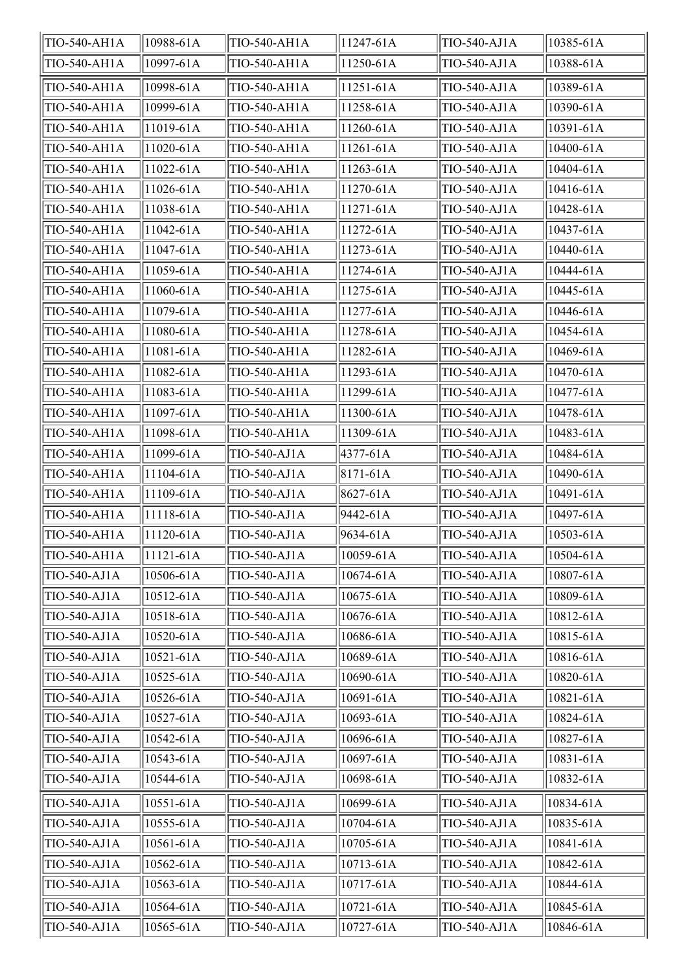| TIO-540-AH1A | 10988-61A     | TIO-540-AH1A        | 11247-61A       | TIO-540-AJ1A | 10385-61A     |
|--------------|---------------|---------------------|-----------------|--------------|---------------|
| TIO-540-AH1A | 10997-61A     | TIO-540-AH1A        | 11250-61A       | TIO-540-AJ1A | 10388-61A     |
| TIO-540-AH1A | 10998-61A     | TIO-540-AH1A        | 11251-61A       | TIO-540-AJ1A | 10389-61A     |
| TIO-540-AH1A | 10999-61A     | TIO-540-AH1A        | 11258-61A       | TIO-540-AJ1A | 10390-61A     |
| TIO-540-AH1A | 11019-61A     | TIO-540-AH1A        | 11260-61A       | TIO-540-AJ1A | 10391-61A     |
| TIO-540-AH1A | 11020-61A     | TIO-540-AH1A        | 11261-61A       | TIO-540-AJ1A | 10400-61A     |
| TIO-540-AH1A | 11022-61A     | TIO-540-AH1A        | $11263 - 61A$   | TIO-540-AJ1A | $10404 - 61A$ |
| TIO-540-AH1A | 11026-61A     | TIO-540-AH1A        | 11270-61A       | TIO-540-AJ1A | 10416-61A     |
| TIO-540-AH1A | 11038-61A     | TIO-540-AH1A        | 11271-61A       | TIO-540-AJ1A | 10428-61A     |
| TIO-540-AH1A | 11042-61A     | TIO-540-AH1A        | 11272-61A       | TIO-540-AJ1A | 10437-61A     |
| TIO-540-AH1A | 11047-61A     | TIO-540-AH1A        | 11273-61A       | TIO-540-AJ1A | 10440-61A     |
| TIO-540-AH1A | 11059-61A     | <b>TIO-540-AH1A</b> | 11274-61A       | TIO-540-AJ1A | 10444-61A     |
| TIO-540-AH1A | 11060-61A     | TIO-540-AH1A        | 11275-61A       | TIO-540-AJ1A | 10445-61A     |
| TIO-540-AH1A | 11079-61A     | <b>TIO-540-AH1A</b> | 11277-61A       | TIO-540-AJ1A | 10446-61A     |
| TIO-540-AH1A | 11080-61A     | TIO-540-AH1A        | 11278-61A       | TIO-540-AJ1A | 10454-61A     |
| TIO-540-AH1A | 11081-61A     | TIO-540-AH1A        | 11282-61A       | TIO-540-AJ1A | 10469-61A     |
| TIO-540-AH1A | 11082-61A     | TIO-540-AH1A        | 11293-61A       | TIO-540-AJ1A | 10470-61A     |
| TIO-540-AH1A | 11083-61A     | TIO-540-AH1A        | 11299-61A       | TIO-540-AJ1A | 10477-61A     |
| TIO-540-AH1A | 11097-61A     | TIO-540-AH1A        | 11300-61A       | TIO-540-AJ1A | 10478-61A     |
| TIO-540-AH1A | 11098-61A     | TIO-540-AH1A        | 11309-61A       | TIO-540-AJ1A | 10483-61A     |
| TIO-540-AH1A | 11099-61A     | TIO-540-AJ1A        | 4377-61A        | TIO-540-AJ1A | 10484-61A     |
| TIO-540-AH1A | 11104-61A     | TIO-540-AJ1A        | $ 8171 - 61A$   | TIO-540-AJ1A | 10490-61A     |
| TIO-540-AH1A | 11109-61A     | TIO-540-AJ1A        | 8627-61A        | TIO-540-AJ1A | 10491-61A     |
| TIO-540-AH1A | 11118-61A     | TIO-540-AJ1A        | 9442-61A        | TIO-540-AJ1A | 10497-61A     |
| TIO-540-AH1A | 11120-61A     | TIO-540-AJ1A        | 9634-61A        | TIO-540-AJ1A | 10503-61A     |
| TIO-540-AH1A | $11121 - 61A$ | TIO-540-AJ1A        | $ 10059 - 61A $ | TIO-540-AJ1A | 10504-61A     |
| TIO-540-AJ1A | 10506-61A     | TIO-540-AJ1A        | 10674-61A       | TIO-540-AJ1A | 10807-61A     |
| TIO-540-AJ1A | 10512-61A     | TIO-540-AJ1A        | 10675-61A       | TIO-540-AJ1A | 10809-61A     |
| TIO-540-AJ1A | 10518-61A     | TIO-540-AJ1A        | 10676-61A       | TIO-540-AJ1A | 10812-61A     |
| TIO-540-AJ1A | 10520-61A     | TIO-540-AJ1A        | 10686-61A       | TIO-540-AJ1A | 10815-61A     |
| TIO-540-AJ1A | 10521-61A     | TIO-540-AJ1A        | 10689-61A       | TIO-540-AJ1A | 10816-61A     |
| TIO-540-AJ1A | 10525-61A     | TIO-540-AJ1A        | 10690-61A       | TIO-540-AJ1A | 10820-61A     |
| TIO-540-AJ1A | 10526-61A     | TIO-540-AJ1A        | 10691-61A       | TIO-540-AJ1A | 10821-61A     |
| TIO-540-AJ1A | 10527-61A     | TIO-540-AJ1A        | 10693-61A       | TIO-540-AJ1A | 10824-61A     |
| TIO-540-AJ1A | 10542-61A     | TIO-540-AJ1A        | 10696-61A       | TIO-540-AJ1A | 10827-61A     |
| TIO-540-AJ1A | 10543-61A     | TIO-540-AJ1A        | 10697-61A       | TIO-540-AJ1A | 10831-61A     |
| TIO-540-AJ1A | 10544-61A     | TIO-540-AJ1A        | 10698-61A       | TIO-540-AJ1A | 10832-61A     |
| TIO-540-AJ1A | $10551 - 61A$ | TIO-540-AJ1A        | 10699-61A       | TIO-540-AJ1A | 10834-61A     |
| TIO-540-AJ1A | 10555-61A     | TIO-540-AJ1A        | 10704-61A       | TIO-540-AJ1A | 10835-61A     |
| TIO-540-AJ1A | 10561-61A     | TIO-540-AJ1A        | 10705-61A       | TIO-540-AJ1A | 10841-61A     |
| TIO-540-AJ1A | 10562-61A     | TIO-540-AJ1A        | 10713-61A       | TIO-540-AJ1A | 10842-61A     |
| TIO-540-AJ1A | 10563-61A     | TIO-540-AJ1A        | 10717-61A       | TIO-540-AJ1A | 10844-61A     |
| TIO-540-AJ1A | 10564-61A     | TIO-540-AJ1A        | 10721-61A       | TIO-540-AJ1A | 10845-61A     |
| TIO-540-AJ1A | 10565-61A     | TIO-540-AJ1A        | 10727-61A       | TIO-540-AJ1A | 10846-61A     |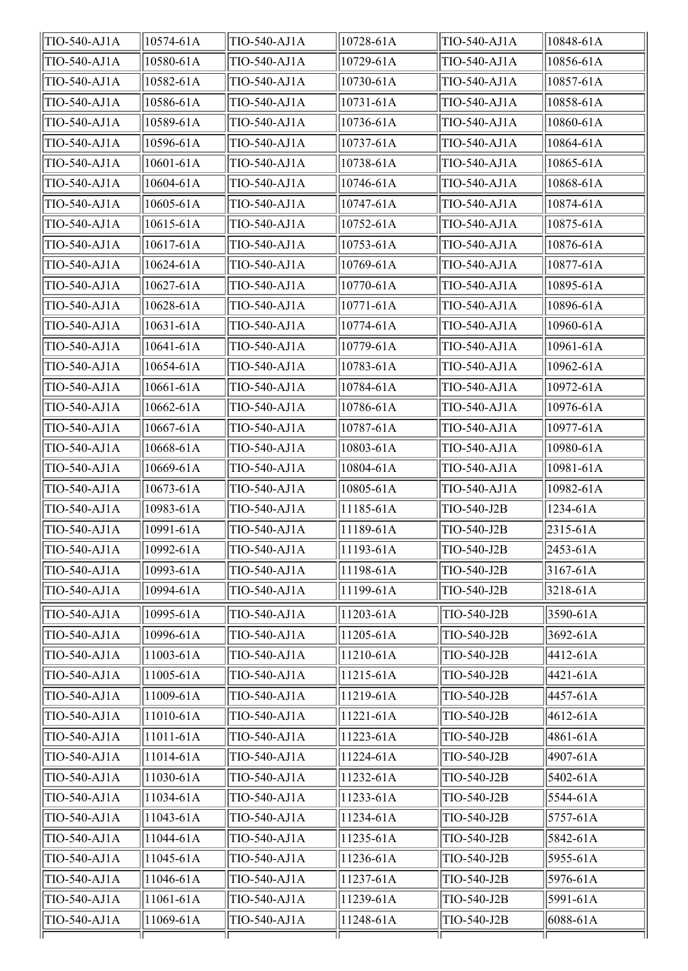| TIO-540-AJ1A | 10574-61A | TIO-540-AJ1A | 10728-61A    | TIO-540-AJ1A | 10848-61A    |
|--------------|-----------|--------------|--------------|--------------|--------------|
| TIO-540-AJ1A | 10580-61A | TIO-540-AJ1A | 10729-61A    | TIO-540-AJ1A | 10856-61A    |
| TIO-540-AJ1A | 10582-61A | TIO-540-AJ1A | 10730-61A    | TIO-540-AJ1A | 10857-61A    |
| TIO-540-AJ1A | 10586-61A | TIO-540-AJ1A | 10731-61A    | TIO-540-AJ1A | 10858-61A    |
| TIO-540-AJ1A | 10589-61A | TIO-540-AJ1A | 10736-61A    | TIO-540-AJ1A | 10860-61A    |
| TIO-540-AJ1A | 10596-61A | TIO-540-AJ1A | 10737-61A    | TIO-540-AJ1A | 10864-61A    |
| TIO-540-AJ1A | 10601-61A | TIO-540-AJ1A | 10738-61A    | TIO-540-AJ1A | 10865-61A    |
| TIO-540-AJ1A | 10604-61A | TIO-540-AJ1A | 10746-61A    | TIO-540-AJ1A | 10868-61A    |
| TIO-540-AJ1A | 10605-61A | TIO-540-AJ1A | 10747-61A    | TIO-540-AJ1A | 10874-61A    |
| TIO-540-AJ1A | 10615-61A | TIO-540-AJ1A | 10752-61A    | TIO-540-AJ1A | 10875-61A    |
| TIO-540-AJ1A | 10617-61A | TIO-540-AJ1A | 10753-61A    | TIO-540-AJ1A | 10876-61A    |
| TIO-540-AJ1A | 10624-61A | TIO-540-AJ1A | 10769-61A    | TIO-540-AJ1A | 10877-61A    |
| TIO-540-AJ1A | 10627-61A | TIO-540-AJ1A | 10770-61A    | TIO-540-AJ1A | 10895-61A    |
| TIO-540-AJ1A | 10628-61A | TIO-540-AJ1A | 10771-61A    | TIO-540-AJ1A | 10896-61A    |
| TIO-540-AJ1A | 10631-61A | TIO-540-AJ1A | 10774-61A    | TIO-540-AJ1A | 10960-61A    |
| TIO-540-AJ1A | 10641-61A | TIO-540-AJ1A | 10779-61A    | TIO-540-AJ1A | 10961-61A    |
| TIO-540-AJ1A | 10654-61A | TIO-540-AJ1A | 10783-61A    | TIO-540-AJ1A | 10962-61A    |
| TIO-540-AJ1A | 10661-61A | TIO-540-AJ1A | 10784-61A    | TIO-540-AJ1A | 10972-61A    |
| TIO-540-AJ1A | 10662-61A | TIO-540-AJ1A | 10786-61A    | TIO-540-AJ1A | 10976-61A    |
| TIO-540-AJ1A | 10667-61A | TIO-540-AJ1A | 10787-61A    | TIO-540-AJ1A | 10977-61A    |
| TIO-540-AJ1A | 10668-61A | TIO-540-AJ1A | 10803-61A    | TIO-540-AJ1A | 10980-61A    |
| TIO-540-AJ1A | 10669-61A | TIO-540-AJ1A | 10804-61A    | TIO-540-AJ1A | 10981-61A    |
| TIO-540-AJ1A | 10673-61A | TIO-540-AJ1A | 10805-61A    | TIO-540-AJ1A | 10982-61A    |
| TIO-540-AJ1A | 10983-61A | TIO-540-AJ1A | 11185-61A    | TIO-540-J2B  | 1234-61A     |
| TIO-540-AJ1A | 10991-61A | TIO-540-AJ1A | 11189-61A    | TIO-540-J2B  | 2315-61A     |
| TIO-540-AJ1A | 10992-61A | TIO-540-AJ1A | $ 11193-61A$ | TIO-540-J2B  | 2453-61A     |
| TIO-540-AJ1A | 10993-61A | TIO-540-AJ1A | 11198-61A    | TIO-540-J2B  | $3167 - 61A$ |
| TIO-540-AJ1A | 10994-61A | TIO-540-AJ1A | 11199-61A    | TIO-540-J2B  | 3218-61A     |
| TIO-540-AJ1A | 10995-61A | TIO-540-AJ1A | 11203-61A    | TIO-540-J2B  | 3590-61A     |
| TIO-540-AJ1A | 10996-61A | TIO-540-AJ1A | 11205-61A    | TIO-540-J2B  | 3692-61A     |
| TIO-540-AJ1A | 11003-61A | TIO-540-AJ1A | 11210-61A    | TIO-540-J2B  | 4412-61A     |
| TIO-540-AJ1A | 11005-61A | TIO-540-AJ1A | 11215-61A    | TIO-540-J2B  | 4421-61A     |
| TIO-540-AJ1A | 11009-61A | TIO-540-AJ1A | 11219-61A    | TIO-540-J2B  | 4457-61A     |
| TIO-540-AJ1A | 11010-61A | TIO-540-AJ1A | 11221-61A    | TIO-540-J2B  | 4612-61A     |
| TIO-540-AJ1A | 11011-61A | TIO-540-AJ1A | 11223-61A    | TIO-540-J2B  | 4861-61A     |
| TIO-540-AJ1A | 11014-61A | TIO-540-AJ1A | 11224-61A    | TIO-540-J2B  | 4907-61A     |
| TIO-540-AJ1A | 11030-61A | TIO-540-AJ1A | 11232-61A    | TIO-540-J2B  | 5402-61A     |
| TIO-540-AJ1A | 11034-61A | TIO-540-AJ1A | 11233-61A    | TIO-540-J2B  | 5544-61A     |
| TIO-540-AJ1A | 11043-61A | TIO-540-AJ1A | 11234-61A    | TIO-540-J2B  | 5757-61A     |
| TIO-540-AJ1A | 11044-61A | TIO-540-AJ1A | 11235-61A    | TIO-540-J2B  | 5842-61A     |
| TIO-540-AJ1A | 11045-61A | TIO-540-AJ1A | 11236-61A    | TIO-540-J2B  | 5955-61A     |
| TIO-540-AJ1A | 11046-61A | TIO-540-AJ1A | 11237-61A    | TIO-540-J2B  | 5976-61A     |
| TIO-540-AJ1A | 11061-61A | TIO-540-AJ1A | 11239-61A    | TIO-540-J2B  | 5991-61A     |
| TIO-540-AJ1A | 11069-61A | TIO-540-AJ1A | 11248-61A    | TIO-540-J2B  | 6088-61A     |
|              |           |              |              |              |              |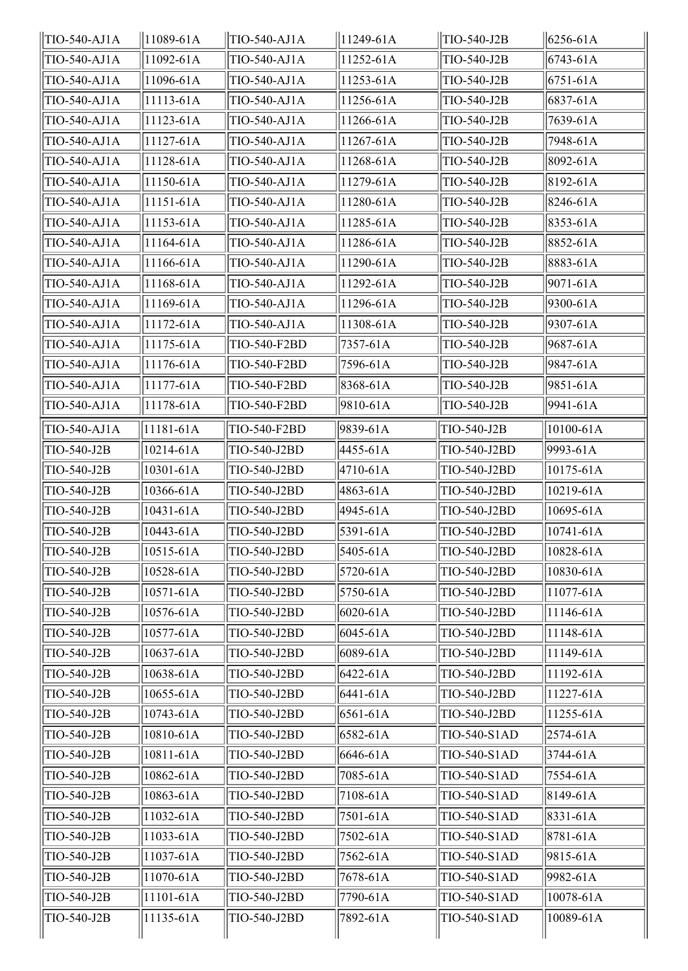| TIO-540-AJ1A | 11089-61A | TIO-540-AJ1A | 11249-61A      | TIO-540-J2B  | $ 6256 - 61A$ |
|--------------|-----------|--------------|----------------|--------------|---------------|
| TIO-540-AJ1A | 11092-61A | TIO-540-AJ1A | 11252-61A      | TIO-540-J2B  | $6743 - 61A$  |
| TIO-540-AJ1A | 11096-61A | TIO-540-AJ1A | 11253-61A      | TIO-540-J2B  | $6751 - 61A$  |
| TIO-540-AJ1A | 11113-61A | TIO-540-AJ1A | 11256-61A      | TIO-540-J2B  | 6837-61A      |
| TIO-540-AJ1A | 11123-61A | TIO-540-AJ1A | 11266-61A      | TIO-540-J2B  | 7639-61A      |
| TIO-540-AJ1A | 11127-61A | TIO-540-AJ1A | 11267-61A      | TIO-540-J2B  | 7948-61A      |
| TIO-540-AJ1A | 11128-61A | TIO-540-AJ1A | 11268-61A      | TIO-540-J2B  | 8092-61A      |
| TIO-540-AJ1A | 11150-61A | TIO-540-AJ1A | 11279-61A      | TIO-540-J2B  | 8192-61A      |
| TIO-540-AJ1A | 11151-61A | TIO-540-AJ1A | 11280-61A      | TIO-540-J2B  | 8246-61A      |
| TIO-540-AJ1A | 11153-61A | TIO-540-AJ1A | 11285-61A      | TIO-540-J2B  | 8353-61A      |
| TIO-540-AJ1A | 11164-61A | TIO-540-AJ1A | 11286-61A      | TIO-540-J2B  | 8852-61A      |
| TIO-540-AJ1A | 11166-61A | TIO-540-AJ1A | 11290-61A      | TIO-540-J2B  | 8883-61A      |
| TIO-540-AJ1A | 11168-61A | TIO-540-AJ1A | 11292-61A      | TIO-540-J2B  | 9071-61A      |
| TIO-540-AJ1A | 11169-61A | TIO-540-AJ1A | 11296-61A      | TIO-540-J2B  | 9300-61A      |
| TIO-540-AJ1A | 11172-61A | TIO-540-AJ1A | $ 11308 - 61A$ | TIO-540-J2B  | 9307-61A      |
| TIO-540-AJ1A | 11175-61A | TIO-540-F2BD | 7357-61A       | TIO-540-J2B  | 9687-61A      |
| TIO-540-AJ1A | 11176-61A | TIO-540-F2BD | 7596-61A       | TIO-540-J2B  | 9847-61A      |
| TIO-540-AJ1A | 11177-61A | TIO-540-F2BD | 8368-61A       | TIO-540-J2B  | 9851-61A      |
| TIO-540-AJ1A | 11178-61A | TIO-540-F2BD | 9810-61A       | TIO-540-J2B  | 9941-61A      |
| TIO-540-AJ1A | 11181-61A | TIO-540-F2BD | 9839-61A       | TIO-540-J2B  | 10100-61A     |
| TIO-540-J2B  | 10214-61A | TIO-540-J2BD | 4455-61A       | TIO-540-J2BD | 9993-61A      |
| TIO-540-J2B  | 10301-61A | TIO-540-J2BD | 4710-61A       | TIO-540-J2BD | 10175-61A     |
| TIO-540-J2B  | 10366-61A | TIO-540-J2BD | 4863-61A       | TIO-540-J2BD | 10219-61A     |
| TIO-540-J2B  | 10431-61A | TIO-540-J2BD | 4945-61A       | TIO-540-J2BD | 10695-61A     |
| TIO-540-J2B  | 10443-61A | TIO-540-J2BD | 5391-61A       | TIO-540-J2BD | 10741-61A     |
| TIO-540-J2B  | 10515-61A | TIO-540-J2BD | 5405-61A       | TIO-540-J2BD | 10828-61A     |
| TIO-540-J2B  | 10528-61A | TIO-540-J2BD | 5720-61A       | TIO-540-J2BD | 10830-61A     |
| TIO-540-J2B  | 10571-61A | TIO-540-J2BD | 5750-61A       | TIO-540-J2BD | 11077-61A     |
| TIO-540-J2B  | 10576-61A | TIO-540-J2BD | 6020-61A       | TIO-540-J2BD | 11146-61A     |
| TIO-540-J2B  | 10577-61A | TIO-540-J2BD | 6045-61A       | TIO-540-J2BD | 11148-61A     |
| TIO-540-J2B  | 10637-61A | TIO-540-J2BD | 6089-61A       | TIO-540-J2BD | 11149-61A     |
| TIO-540-J2B  | 10638-61A | TIO-540-J2BD | 6422-61A       | TIO-540-J2BD | 11192-61A     |
| TIO-540-J2B  | 10655-61A | TIO-540-J2BD | 6441-61A       | TIO-540-J2BD | 11227-61A     |
| TIO-540-J2B  | 10743-61A | TIO-540-J2BD | 6561-61A       | TIO-540-J2BD | 11255-61A     |
| TIO-540-J2B  | 10810-61A | TIO-540-J2BD | 6582-61A       | TIO-540-S1AD | 2574-61A      |
| TIO-540-J2B  | 10811-61A | TIO-540-J2BD | 6646-61A       | TIO-540-S1AD | 3744-61A      |
| TIO-540-J2B  | 10862-61A | TIO-540-J2BD | 7085-61A       | TIO-540-S1AD | 7554-61A      |
| TIO-540-J2B  | 10863-61A | TIO-540-J2BD | 7108-61A       | TIO-540-S1AD | 8149-61A      |
| TIO-540-J2B  | 11032-61A | TIO-540-J2BD | 7501-61A       | TIO-540-S1AD | 8331-61A      |
| TIO-540-J2B  | 11033-61A | TIO-540-J2BD | 7502-61A       | TIO-540-S1AD | 8781-61A      |
| TIO-540-J2B  | 11037-61A | TIO-540-J2BD | 7562-61A       | TIO-540-S1AD | 9815-61A      |
| TIO-540-J2B  | 11070-61A | TIO-540-J2BD | 7678-61A       | TIO-540-S1AD | 9982-61A      |
| TIO-540-J2B  | 11101-61A | TIO-540-J2BD | 7790-61A       | TIO-540-S1AD | 10078-61A     |
| TIO-540-J2B  | 11135-61A | TIO-540-J2BD | 7892-61A       | TIO-540-S1AD | 10089-61A     |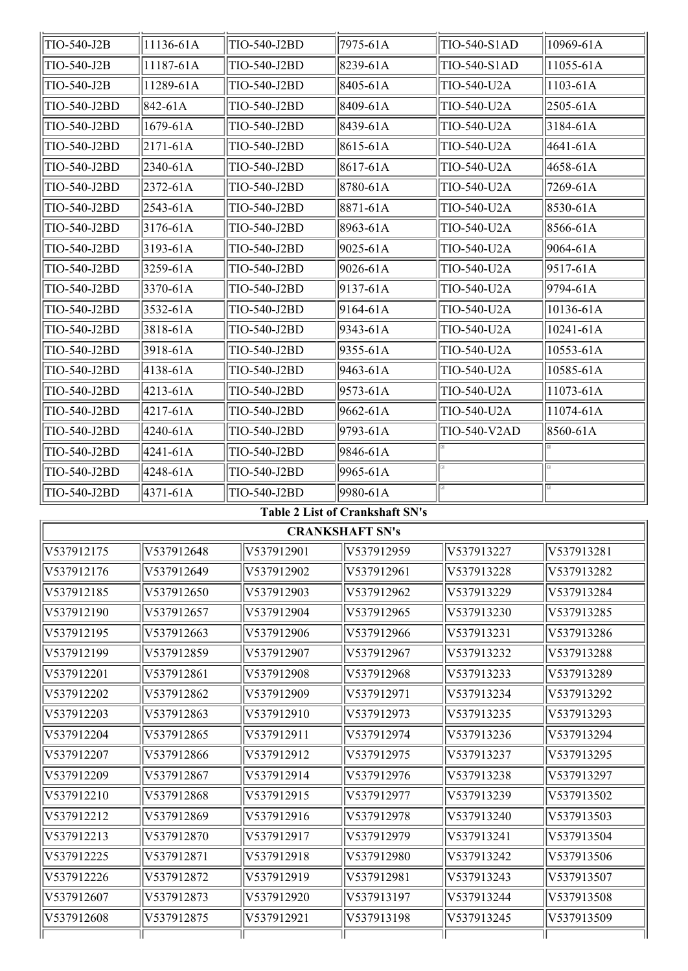| TIO-540-J2B                            | 11136-61A      |            | TIO-540-J2BD |  | 7975-61A               | TIO-540-S1AD | 10969-61A     |
|----------------------------------------|----------------|------------|--------------|--|------------------------|--------------|---------------|
| TIO-540-J2B                            | 11187-61A      |            | TIO-540-J2BD |  | 8239-61A               | TIO-540-S1AD | 11055-61A     |
| TIO-540-J2B                            | 11289-61A      |            | TIO-540-J2BD |  | 8405-61A               | TIO-540-U2A  | $1103 - 61A$  |
| TIO-540-J2BD                           | 842-61A        |            | TIO-540-J2BD |  | 8409-61A               | TIO-540-U2A  | 2505-61A      |
| TIO-540-J2BD                           | 1679-61A       |            | TIO-540-J2BD |  | 8439-61A               | TIO-540-U2A  | $3184 - 61A$  |
| TIO-540-J2BD                           | 2171-61A       |            | TIO-540-J2BD |  | 8615-61A               | TIO-540-U2A  | 4641-61A      |
| TIO-540-J2BD                           | 2340-61A       |            | TIO-540-J2BD |  | 8617-61A               | TIO-540-U2A  | 4658-61A      |
| TIO-540-J2BD                           | 2372-61A       |            | TIO-540-J2BD |  | 8780-61A               | TIO-540-U2A  | 7269-61A      |
| TIO-540-J2BD                           | $ 2543 - 61A $ |            | TIO-540-J2BD |  | 8871-61A               | TIO-540-U2A  | 8530-61A      |
| TIO-540-J2BD                           | $3176 - 61A$   |            | TIO-540-J2BD |  | 8963-61A               | TIO-540-U2A  | 8566-61A      |
| TIO-540-J2BD                           | 3193-61A       |            | TIO-540-J2BD |  | 9025-61A               | TIO-540-U2A  | 9064-61A      |
| TIO-540-J2BD                           | 3259-61A       |            | TIO-540-J2BD |  | 9026-61A               | TIO-540-U2A  | 9517-61A      |
| TIO-540-J2BD                           | 3370-61A       |            | TIO-540-J2BD |  | 9137-61A               | TIO-540-U2A  | 9794-61A      |
| TIO-540-J2BD                           | 3532-61A       |            | TIO-540-J2BD |  | 9164-61A               | TIO-540-U2A  | 10136-61A     |
| TIO-540-J2BD                           | 3818-61A       |            | TIO-540-J2BD |  | 9343-61A               | TIO-540-U2A  | $10241 - 61A$ |
| TIO-540-J2BD                           | 3918-61A       |            | TIO-540-J2BD |  | 9355-61A               | TIO-540-U2A  | 10553-61A     |
| TIO-540-J2BD                           | 4138-61A       |            | TIO-540-J2BD |  | 9463-61A               | TIO-540-U2A  | 10585-61A     |
| TIO-540-J2BD                           | 4213-61A       |            | TIO-540-J2BD |  | 9573-61A               | TIO-540-U2A  | 11073-61A     |
| TIO-540-J2BD                           | 4217-61A       |            | TIO-540-J2BD |  | 9662-61A               | TIO-540-U2A  | 11074-61A     |
| TIO-540-J2BD                           | 4240-61A       |            | TIO-540-J2BD |  | 9793-61A               | TIO-540-V2AD | 8560-61A      |
| TIO-540-J2BD                           | 4241-61A       |            | TIO-540-J2BD |  | 9846-61A               |              |               |
| TIO-540-J2BD                           | 4248-61A       |            | TIO-540-J2BD |  | 9965-61A               |              |               |
| TIO-540-J2BD                           | 4371-61A       |            | TIO-540-J2BD |  | 9980-61A               |              |               |
| <b>Table 2 List of Crankshaft SN's</b> |                |            |              |  |                        |              |               |
|                                        |                |            |              |  | <b>CRANKSHAFT SN's</b> |              |               |
| V537912175                             | V537912648     |            | V537912901   |  | V537912959             | V537913227   | V537913281    |
| V537012176                             | V537012640     | V537012002 |              |  | V537012061             | 17537013228  | 17537013282   |

| V537912175 | IV537912648 | V537912901 | IV537912959 | IV537913227 | IV537913281 |
|------------|-------------|------------|-------------|-------------|-------------|
| V537912176 | V537912649  | V537912902 | V537912961  | V537913228  | V537913282  |
| V537912185 | V537912650  | V537912903 | V537912962  | V537913229  | V537913284  |
| V537912190 | V537912657  | V537912904 | V537912965  | V537913230  | V537913285  |
| V537912195 | V537912663  | V537912906 | V537912966  | V537913231  | V537913286  |
| V537912199 | V537912859  | V537912907 | V537912967  | V537913232  | V537913288  |
| V537912201 | V537912861  | V537912908 | V537912968  | V537913233  | V537913289  |
| V537912202 | V537912862  | V537912909 | V537912971  | V537913234  | V537913292  |
| V537912203 | V537912863  | V537912910 | V537912973  | V537913235  | V537913293  |
| V537912204 | V537912865  | V537912911 | V537912974  | V537913236  | V537913294  |
| V537912207 | V537912866  | V537912912 | V537912975  | V537913237  | V537913295  |
| V537912209 | V537912867  | V537912914 | V537912976  | V537913238  | V537913297  |
| V537912210 | V537912868  | V537912915 | V537912977  | V537913239  | V537913502  |
| V537912212 | V537912869  | V537912916 | V537912978  | V537913240  | V537913503  |
| V537912213 | V537912870  | V537912917 | V537912979  | V537913241  | V537913504  |
| V537912225 | V537912871  | V537912918 | V537912980  | V537913242  | V537913506  |
| V537912226 | V537912872  | V537912919 | V537912981  | V537913243  | V537913507  |
| V537912607 | V537912873  | V537912920 | V537913197  | V537913244  | V537913508  |
| V537912608 | V537912875  | V537912921 | V537913198  | V537913245  | V537913509  |
|            |             |            |             |             |             |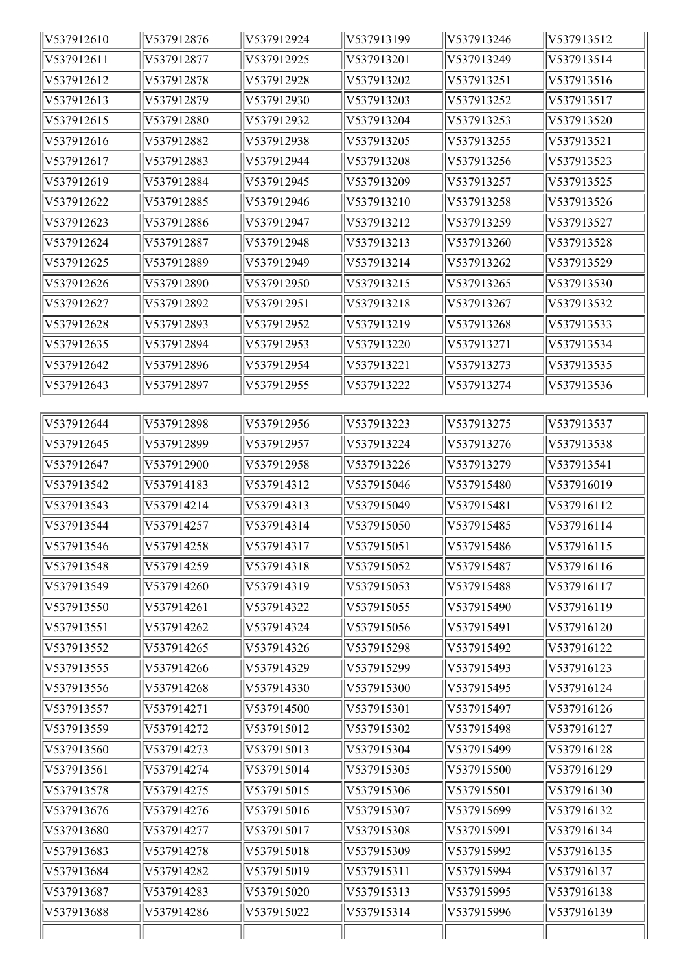| V537912610 | V537912876 | V537912924 | V537913199 | V537913246 | V537913512 |
|------------|------------|------------|------------|------------|------------|
| V537912611 | V537912877 | V537912925 | V537913201 | V537913249 | V537913514 |
| V537912612 | V537912878 | V537912928 | V537913202 | V537913251 | V537913516 |
| V537912613 | V537912879 | V537912930 | V537913203 | V537913252 | V537913517 |
| V537912615 | V537912880 | V537912932 | V537913204 | V537913253 | V537913520 |
| V537912616 | V537912882 | V537912938 | V537913205 | V537913255 | V537913521 |
| V537912617 | V537912883 | V537912944 | V537913208 | V537913256 | V537913523 |
| V537912619 | V537912884 | V537912945 | V537913209 | V537913257 | V537913525 |
| V537912622 | V537912885 | V537912946 | V537913210 | V537913258 | V537913526 |
| V537912623 | V537912886 | V537912947 | V537913212 | V537913259 | V537913527 |
| V537912624 | V537912887 | V537912948 | V537913213 | V537913260 | V537913528 |
| V537912625 | V537912889 | V537912949 | V537913214 | V537913262 | V537913529 |
| V537912626 | V537912890 | V537912950 | V537913215 | V537913265 | V537913530 |
| V537912627 | V537912892 | V537912951 | V537913218 | V537913267 | V537913532 |
| V537912628 | V537912893 | V537912952 | V537913219 | V537913268 | V537913533 |
| V537912635 | V537912894 | V537912953 | V537913220 | V537913271 | V537913534 |
| V537912642 | V537912896 | V537912954 | V537913221 | V537913273 | V537913535 |
| V537912643 | V537912897 | V537912955 | V537913222 | V537913274 | V537913536 |
|            |            |            |            |            |            |
| V537912644 | V537912898 | V537912956 | V537913223 | V537913275 | V537913537 |
| V537912645 | V537912899 | V537912957 | V537913224 | V537913276 | V537913538 |
| V537912647 | V537912900 | V537912958 | V537913226 | V537913279 | V537913541 |
| V537913542 | V537914183 | V537914312 | V537915046 | V537915480 | V537916019 |
| V537913543 | V537914214 | V537914313 | V537915049 | V537915481 | V537916112 |
| V537913544 | V537914257 | V537914314 | V537915050 | V537915485 | V537916114 |
| V537913546 | V537914258 | V537914317 | V537915051 | V537915486 | V537916115 |
| V537913548 | V537914259 | V537914318 | V537915052 | V537915487 | V537916116 |
| V537913549 | V537914260 | V537914319 | V537915053 | V537915488 | V537916117 |
| V537913550 | V537914261 | V537914322 | V537915055 | V537915490 | V537916119 |
| V537913551 | V537914262 | V537914324 | V537915056 | V537915491 | V537916120 |
| V537913552 | V537914265 | V537914326 | V537915298 | V537915492 | V537916122 |
| V537913555 | V537914266 | V537914329 | V537915299 | V537915493 | V537916123 |
| V537913556 | V537914268 | V537914330 | V537915300 | V537915495 | V537916124 |
| V537913557 | V537914271 | V537914500 | V537915301 | V537915497 | V537916126 |
| V537913559 | V537914272 | V537915012 | V537915302 | V537915498 | V537916127 |
| V537913560 | V537914273 | V537915013 | V537915304 | V537915499 | V537916128 |
| V537913561 | V537914274 | V537915014 | V537915305 | V537915500 | V537916129 |
| V537913578 | V537914275 | V537915015 | V537915306 | V537915501 | V537916130 |
| V537913676 | V537914276 | V537915016 | V537915307 | V537915699 | V537916132 |
| V537913680 | V537914277 | V537915017 | V537915308 | V537915991 | V537916134 |
| V537913683 | V537914278 | V537915018 | V537915309 | V537915992 | V537916135 |
| V537913684 | V537914282 | V537915019 | V537915311 | V537915994 | V537916137 |
| V537913687 | V537914283 | V537915020 | V537915313 | V537915995 | V537916138 |
| V537913688 | V537914286 | V537915022 | V537915314 | V537915996 | V537916139 |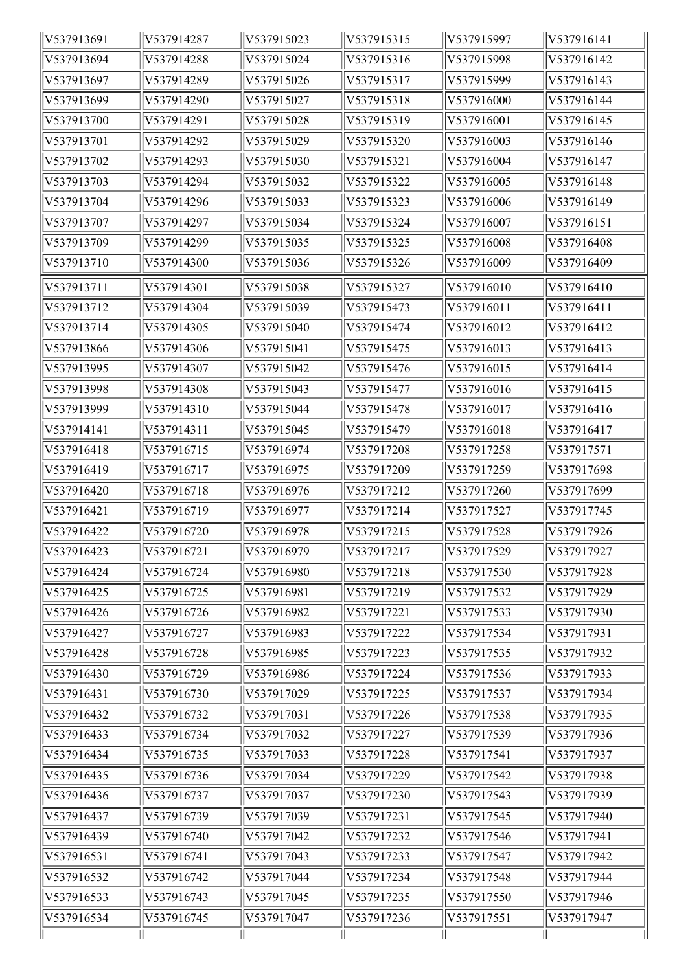| V537913691 | V537914287           | V537915023 | V537915315 | V537915997 | V537916141 |
|------------|----------------------|------------|------------|------------|------------|
| V537913694 | V537914288           | V537915024 | V537915316 | V537915998 | V537916142 |
| V537913697 | V537914289           | V537915026 | V537915317 | V537915999 | V537916143 |
| V537913699 | V537914290           | V537915027 | V537915318 | V537916000 | V537916144 |
| V537913700 | V537914291           | V537915028 | V537915319 | V537916001 | V537916145 |
| V537913701 | V537914292           | V537915029 | V537915320 | V537916003 | V537916146 |
| V537913702 | V537914293           | V537915030 | V537915321 | V537916004 | V537916147 |
| V537913703 | V537914294           | V537915032 | V537915322 | V537916005 | V537916148 |
| V537913704 | V537914296           | V537915033 | V537915323 | V537916006 | V537916149 |
| V537913707 | V537914297           | V537915034 | V537915324 | V537916007 | V537916151 |
| V537913709 | V537914299           | V537915035 | V537915325 | V537916008 | V537916408 |
| V537913710 | V537914300           | V537915036 | V537915326 | V537916009 | V537916409 |
| V537913711 | V537914301           | V537915038 | V537915327 | V537916010 | V537916410 |
| V537913712 | V537914304           | V537915039 | V537915473 | V537916011 | V537916411 |
| V537913714 | V537914305           | V537915040 | V537915474 | V537916012 | V537916412 |
| V537913866 | V537914306           | V537915041 | V537915475 | V537916013 | V537916413 |
| V537913995 | V537914307           | V537915042 | V537915476 | V537916015 | V537916414 |
| V537913998 | V537914308           | V537915043 | V537915477 | V537916016 | V537916415 |
| V537913999 | V537914310           | V537915044 | V537915478 | V537916017 | V537916416 |
| V537914141 | V537914311           | V537915045 | V537915479 | V537916018 | V537916417 |
| V537916418 | V537916715           | V537916974 | V537917208 | V537917258 | V537917571 |
| V537916419 | V537916717           | V537916975 | V537917209 | V537917259 | V537917698 |
| V537916420 | V537916718           | V537916976 | V537917212 | V537917260 | V537917699 |
| V537916421 | V537916719           | V537916977 | V537917214 | V537917527 | V537917745 |
| V537916422 | V537916720           | V537916978 | V537917215 | V537917528 | V537917926 |
| V537916423 | $\sqrt{V}$ 537916721 | V537916979 | V537917217 | V537917529 | V537917927 |
| V537916424 | V537916724           | V537916980 | V537917218 | V537917530 | V537917928 |
| V537916425 | V537916725           | V537916981 | V537917219 | V537917532 | V537917929 |
| V537916426 | V537916726           | V537916982 | V537917221 | V537917533 | V537917930 |
| V537916427 | V537916727           | V537916983 | V537917222 | V537917534 | V537917931 |
| V537916428 | V537916728           | V537916985 | V537917223 | V537917535 | V537917932 |
| V537916430 | V537916729           | V537916986 | V537917224 | V537917536 | V537917933 |
| V537916431 | V537916730           | V537917029 | V537917225 | V537917537 | V537917934 |
| V537916432 | V537916732           | V537917031 | V537917226 | V537917538 | V537917935 |
| V537916433 | V537916734           | V537917032 | V537917227 | V537917539 | V537917936 |
| V537916434 | V537916735           | V537917033 | V537917228 | V537917541 | V537917937 |
| V537916435 | V537916736           | V537917034 | V537917229 | V537917542 | V537917938 |
| V537916436 | V537916737           | V537917037 | V537917230 | V537917543 | V537917939 |
| V537916437 | V537916739           | V537917039 | V537917231 | V537917545 | V537917940 |
| V537916439 | V537916740           | V537917042 | V537917232 | V537917546 | V537917941 |
| V537916531 | V537916741           | V537917043 | V537917233 | V537917547 | V537917942 |
| V537916532 | V537916742           | V537917044 | V537917234 | V537917548 | V537917944 |
| V537916533 | V537916743           | V537917045 | V537917235 | V537917550 | V537917946 |
| V537916534 | V537916745           | V537917047 | V537917236 | V537917551 | V537917947 |
|            |                      |            |            |            |            |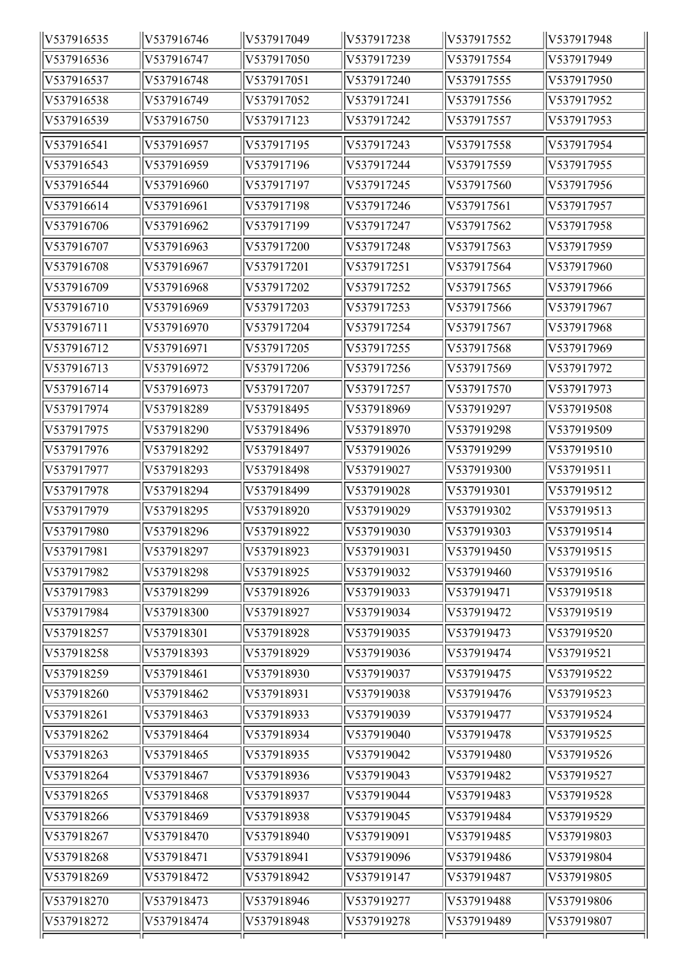| V537916535 | V537916746 | V537917049           | V537917238 | V537917552 | V537917948 |
|------------|------------|----------------------|------------|------------|------------|
| V537916536 | V537916747 | V537917050           | V537917239 | V537917554 | V537917949 |
| V537916537 | V537916748 | V537917051           | V537917240 | V537917555 | V537917950 |
| V537916538 | V537916749 | V537917052           | V537917241 | V537917556 | V537917952 |
| V537916539 | V537916750 | V537917123           | V537917242 | V537917557 | V537917953 |
| V537916541 | V537916957 | V537917195           | V537917243 | V537917558 | V537917954 |
| V537916543 | V537916959 | V537917196           | V537917244 | V537917559 | V537917955 |
| V537916544 | V537916960 | V537917197           | V537917245 | V537917560 | V537917956 |
| V537916614 | V537916961 | V537917198           | V537917246 | V537917561 | V537917957 |
| V537916706 | V537916962 | V537917199           | V537917247 | V537917562 | V537917958 |
| V537916707 | V537916963 | V537917200           | V537917248 | V537917563 | V537917959 |
| V537916708 | V537916967 | V537917201           | V537917251 | V537917564 | V537917960 |
| V537916709 | V537916968 | V537917202           | V537917252 | V537917565 | V537917966 |
| V537916710 | V537916969 | V537917203           | V537917253 | V537917566 | V537917967 |
| V537916711 | V537916970 | V537917204           | V537917254 | V537917567 | V537917968 |
| V537916712 | V537916971 | V537917205           | V537917255 | V537917568 | V537917969 |
| V537916713 | V537916972 | V537917206           | V537917256 | V537917569 | V537917972 |
| V537916714 | V537916973 | V537917207           | V537917257 | V537917570 | V537917973 |
| V537917974 | V537918289 | V537918495           | V537918969 | V537919297 | V537919508 |
| V537917975 | V537918290 | V537918496           | V537918970 | V537919298 | V537919509 |
| V537917976 | V537918292 | V537918497           | V537919026 | V537919299 | V537919510 |
| V537917977 | V537918293 | V537918498           | V537919027 | V537919300 | V537919511 |
| V537917978 | V537918294 | V537918499           | V537919028 | V537919301 | V537919512 |
| V537917979 | V537918295 | V537918920           | V537919029 | V537919302 | V537919513 |
| V537917980 | V537918296 | V537918922           | V537919030 | V537919303 | V537919514 |
| V537917981 | V537918297 | $\sqrt{V}$ 537918923 | V537919031 | V537919450 | V537919515 |
| V537917982 | V537918298 | V537918925           | V537919032 | V537919460 | V537919516 |
| V537917983 | V537918299 | V537918926           | V537919033 | V537919471 | V537919518 |
| V537917984 | V537918300 | V537918927           | V537919034 | V537919472 | V537919519 |
| V537918257 | V537918301 | V537918928           | V537919035 | V537919473 | V537919520 |
| V537918258 | V537918393 | V537918929           | V537919036 | V537919474 | V537919521 |
| V537918259 | V537918461 | V537918930           | V537919037 | V537919475 | V537919522 |
| V537918260 | V537918462 | V537918931           | V537919038 | V537919476 | V537919523 |
| V537918261 | V537918463 | V537918933           | V537919039 | V537919477 | V537919524 |
| V537918262 | V537918464 | V537918934           | V537919040 | V537919478 | V537919525 |
| V537918263 | V537918465 | V537918935           | V537919042 | V537919480 | V537919526 |
| V537918264 | V537918467 | V537918936           | V537919043 | V537919482 | V537919527 |
| V537918265 | V537918468 | V537918937           | V537919044 | V537919483 | V537919528 |
| V537918266 | V537918469 | V537918938           | V537919045 | V537919484 | V537919529 |
| V537918267 | V537918470 | V537918940           | V537919091 | V537919485 | V537919803 |
| V537918268 | V537918471 | V537918941           | V537919096 | V537919486 | V537919804 |
| V537918269 | V537918472 | V537918942           | V537919147 | V537919487 | V537919805 |
| V537918270 | V537918473 | V537918946           | V537919277 | V537919488 | V537919806 |
| V537918272 | V537918474 | V537918948           | V537919278 | V537919489 | V537919807 |
|            |            |                      |            |            |            |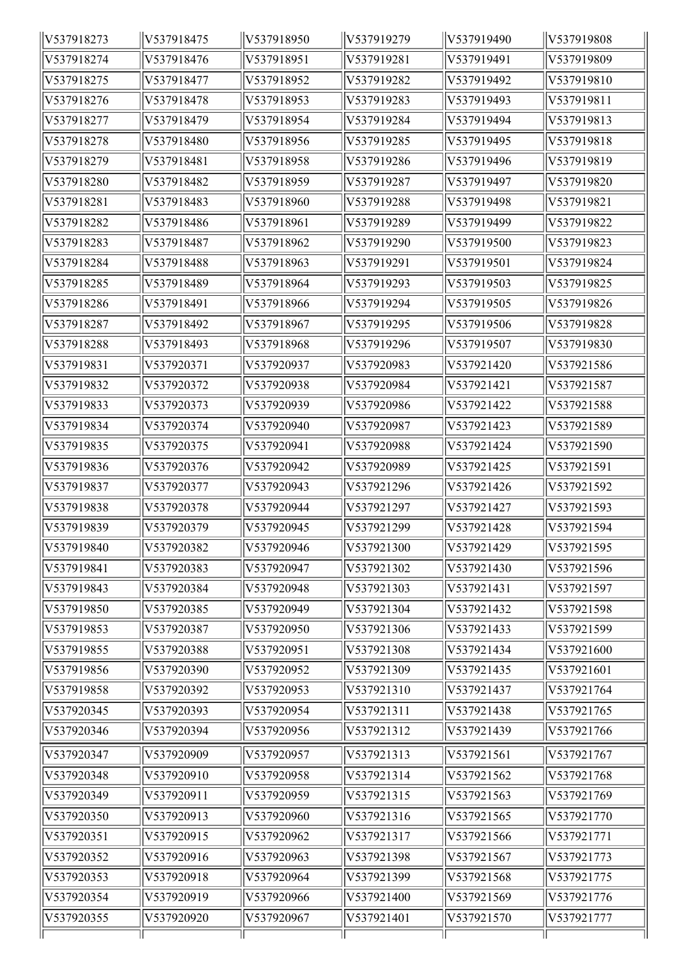| V537918273 | V537918475 | V537918950 | V537919279 | V537919490 | V537919808 |
|------------|------------|------------|------------|------------|------------|
| V537918274 | V537918476 | V537918951 | V537919281 | V537919491 | V537919809 |
| V537918275 | V537918477 | V537918952 | V537919282 | V537919492 | V537919810 |
| V537918276 | V537918478 | V537918953 | V537919283 | V537919493 | V537919811 |
| V537918277 | V537918479 | V537918954 | V537919284 | V537919494 | V537919813 |
| V537918278 | V537918480 | V537918956 | V537919285 | V537919495 | V537919818 |
| V537918279 | V537918481 | V537918958 | V537919286 | V537919496 | V537919819 |
| V537918280 | V537918482 | V537918959 | V537919287 | V537919497 | V537919820 |
| V537918281 | V537918483 | V537918960 | V537919288 | V537919498 | V537919821 |
| V537918282 | V537918486 | V537918961 | V537919289 | V537919499 | V537919822 |
| V537918283 | V537918487 | V537918962 | V537919290 | V537919500 | V537919823 |
| V537918284 | V537918488 | V537918963 | V537919291 | V537919501 | V537919824 |
| V537918285 | V537918489 | V537918964 | V537919293 | V537919503 | V537919825 |
| V537918286 | V537918491 | V537918966 | V537919294 | V537919505 | V537919826 |
| V537918287 | V537918492 | V537918967 | V537919295 | V537919506 | V537919828 |
| V537918288 | V537918493 | V537918968 | V537919296 | V537919507 | V537919830 |
| V537919831 | V537920371 | V537920937 | V537920983 | V537921420 | V537921586 |
| V537919832 | V537920372 | V537920938 | V537920984 | V537921421 | V537921587 |
| V537919833 | V537920373 | V537920939 | V537920986 | V537921422 | V537921588 |
| V537919834 | V537920374 | V537920940 | V537920987 | V537921423 | V537921589 |
| V537919835 | V537920375 | V537920941 | V537920988 | V537921424 | V537921590 |
| V537919836 | V537920376 | V537920942 | V537920989 | V537921425 | V537921591 |
| V537919837 | V537920377 | V537920943 | V537921296 | V537921426 | V537921592 |
| V537919838 | V537920378 | V537920944 | V537921297 | V537921427 | V537921593 |
| V537919839 | V537920379 | V537920945 | V537921299 | V537921428 | V537921594 |
| V537919840 | V537920382 | V537920946 | V537921300 | V537921429 | V537921595 |
| V537919841 | V537920383 | V537920947 | V537921302 | V537921430 | V537921596 |
| V537919843 | V537920384 | V537920948 | V537921303 | V537921431 | V537921597 |
| V537919850 | V537920385 | V537920949 | V537921304 | V537921432 | V537921598 |
| V537919853 | V537920387 | V537920950 | V537921306 | V537921433 | V537921599 |
| V537919855 | V537920388 | V537920951 | V537921308 | V537921434 | V537921600 |
| V537919856 | V537920390 | V537920952 | V537921309 | V537921435 | V537921601 |
| V537919858 | V537920392 | V537920953 | V537921310 | V537921437 | V537921764 |
| V537920345 | V537920393 | V537920954 | V537921311 | V537921438 | V537921765 |
| V537920346 | V537920394 | V537920956 | V537921312 | V537921439 | V537921766 |
| V537920347 | V537920909 | V537920957 | V537921313 | V537921561 | V537921767 |
| V537920348 | V537920910 | V537920958 | V537921314 | V537921562 | V537921768 |
| V537920349 | V537920911 | V537920959 | V537921315 | V537921563 | V537921769 |
| V537920350 | V537920913 | V537920960 | V537921316 | V537921565 | V537921770 |
| V537920351 | V537920915 | V537920962 | V537921317 | V537921566 | V537921771 |
| V537920352 | V537920916 | V537920963 | V537921398 | V537921567 | V537921773 |
| V537920353 | V537920918 | V537920964 | V537921399 | V537921568 | V537921775 |
| V537920354 | V537920919 | V537920966 | V537921400 | V537921569 | V537921776 |
| V537920355 | V537920920 | V537920967 | V537921401 | V537921570 | V537921777 |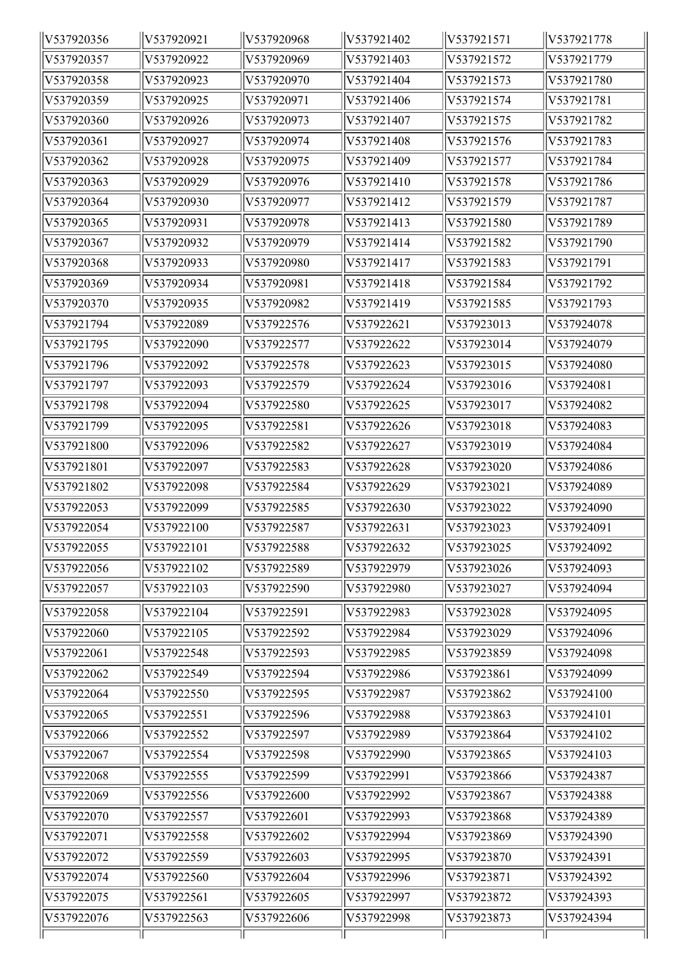| V537920356 | V537920921 | V537920968 | V537921402 | V537921571 | V537921778 |
|------------|------------|------------|------------|------------|------------|
| V537920357 | V537920922 | V537920969 | V537921403 | V537921572 | V537921779 |
| V537920358 | V537920923 | V537920970 | V537921404 | V537921573 | V537921780 |
| V537920359 | V537920925 | V537920971 | V537921406 | V537921574 | V537921781 |
| V537920360 | V537920926 | V537920973 | V537921407 | V537921575 | V537921782 |
| V537920361 | V537920927 | V537920974 | V537921408 | V537921576 | V537921783 |
| V537920362 | V537920928 | V537920975 | V537921409 | V537921577 | V537921784 |
| V537920363 | V537920929 | V537920976 | V537921410 | V537921578 | V537921786 |
| V537920364 | V537920930 | V537920977 | V537921412 | V537921579 | V537921787 |
| V537920365 | V537920931 | V537920978 | V537921413 | V537921580 | V537921789 |
| V537920367 | V537920932 | V537920979 | V537921414 | V537921582 | V537921790 |
| V537920368 | V537920933 | V537920980 | V537921417 | V537921583 | V537921791 |
| V537920369 | V537920934 | V537920981 | V537921418 | V537921584 | V537921792 |
| V537920370 | V537920935 | V537920982 | V537921419 | V537921585 | V537921793 |
| V537921794 | V537922089 | V537922576 | V537922621 | V537923013 | V537924078 |
| V537921795 | V537922090 | V537922577 | V537922622 | V537923014 | V537924079 |
| V537921796 | V537922092 | V537922578 | V537922623 | V537923015 | V537924080 |
| V537921797 | V537922093 | V537922579 | V537922624 | V537923016 | V537924081 |
| V537921798 | V537922094 | V537922580 | V537922625 | V537923017 | V537924082 |
| V537921799 | V537922095 | V537922581 | V537922626 | V537923018 | V537924083 |
| V537921800 | V537922096 | V537922582 | V537922627 | V537923019 | V537924084 |
| V537921801 | V537922097 | V537922583 | V537922628 | V537923020 | V537924086 |
| V537921802 | V537922098 | V537922584 | V537922629 | V537923021 | V537924089 |
| V537922053 | V537922099 | V537922585 | V537922630 | V537923022 | V537924090 |
| V537922054 | V537922100 | V537922587 | V537922631 | V537923023 | V537924091 |
| V537922055 | V537922101 | V537922588 | V537922632 | V537923025 | V537924092 |
| V537922056 | V537922102 | V537922589 | V537922979 | V537923026 | V537924093 |
| V537922057 | V537922103 | V537922590 | V537922980 | V537923027 | V537924094 |
| V537922058 | V537922104 | V537922591 | V537922983 | V537923028 | V537924095 |
| V537922060 | V537922105 | V537922592 | V537922984 | V537923029 | V537924096 |
| V537922061 | V537922548 | V537922593 | V537922985 | V537923859 | V537924098 |
| V537922062 | V537922549 | V537922594 | V537922986 | V537923861 | V537924099 |
| V537922064 | V537922550 | V537922595 | V537922987 | V537923862 | V537924100 |
| V537922065 | V537922551 | V537922596 | V537922988 | V537923863 | V537924101 |
| V537922066 | V537922552 | V537922597 | V537922989 | V537923864 | V537924102 |
| V537922067 | V537922554 | V537922598 | V537922990 | V537923865 | V537924103 |
| V537922068 | V537922555 | V537922599 | V537922991 | V537923866 | V537924387 |
| V537922069 | V537922556 | V537922600 | V537922992 | V537923867 | V537924388 |
| V537922070 | V537922557 | V537922601 | V537922993 | V537923868 | V537924389 |
| V537922071 | V537922558 | V537922602 | V537922994 | V537923869 | V537924390 |
| V537922072 | V537922559 | V537922603 | V537922995 | V537923870 | V537924391 |
| V537922074 | V537922560 | V537922604 | V537922996 | V537923871 | V537924392 |
| V537922075 | V537922561 | V537922605 | V537922997 | V537923872 | V537924393 |
| V537922076 | V537922563 | V537922606 | V537922998 | V537923873 | V537924394 |
|            |            |            |            |            |            |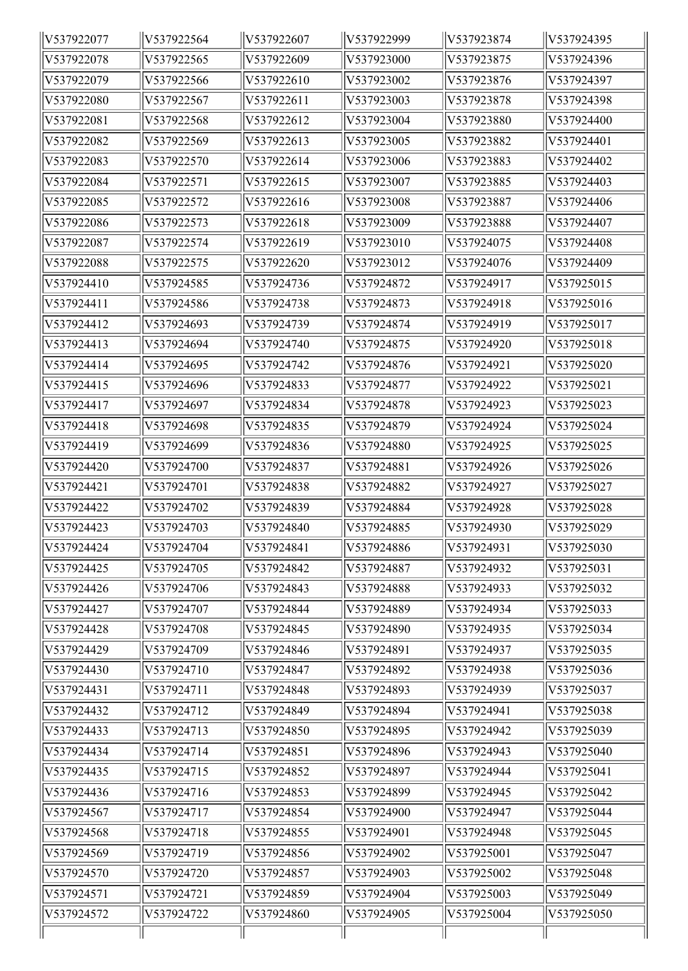| V537922077 | V537922564 | V537922607 | V537922999 | V537923874 | V537924395 |
|------------|------------|------------|------------|------------|------------|
| V537922078 | V537922565 | V537922609 | V537923000 | V537923875 | V537924396 |
| V537922079 | V537922566 | V537922610 | V537923002 | V537923876 | V537924397 |
| V537922080 | V537922567 | V537922611 | V537923003 | V537923878 | V537924398 |
| V537922081 | V537922568 | V537922612 | V537923004 | V537923880 | V537924400 |
| V537922082 | V537922569 | V537922613 | V537923005 | V537923882 | V537924401 |
| V537922083 | V537922570 | V537922614 | V537923006 | V537923883 | V537924402 |
| V537922084 | V537922571 | V537922615 | V537923007 | V537923885 | V537924403 |
| V537922085 | V537922572 | V537922616 | V537923008 | V537923887 | V537924406 |
| V537922086 | V537922573 | V537922618 | V537923009 | V537923888 | V537924407 |
| V537922087 | V537922574 | V537922619 | V537923010 | V537924075 | V537924408 |
| V537922088 | V537922575 | V537922620 | V537923012 | V537924076 | V537924409 |
| V537924410 | V537924585 | V537924736 | V537924872 | V537924917 | V537925015 |
| V537924411 | V537924586 | V537924738 | V537924873 | V537924918 | V537925016 |
| V537924412 | V537924693 | V537924739 | V537924874 | V537924919 | V537925017 |
| V537924413 | V537924694 | V537924740 | V537924875 | V537924920 | V537925018 |
| V537924414 | V537924695 | V537924742 | V537924876 | V537924921 | V537925020 |
| V537924415 | V537924696 | V537924833 | V537924877 | V537924922 | V537925021 |
| V537924417 | V537924697 | V537924834 | V537924878 | V537924923 | V537925023 |
| V537924418 | V537924698 | V537924835 | V537924879 | V537924924 | V537925024 |
| V537924419 | V537924699 | V537924836 | V537924880 | V537924925 | V537925025 |
| V537924420 | V537924700 | V537924837 | V537924881 | V537924926 | V537925026 |
| V537924421 | V537924701 | V537924838 | V537924882 | V537924927 | V537925027 |
| V537924422 | V537924702 | V537924839 | V537924884 | V537924928 | V537925028 |
| V537924423 | V537924703 | V537924840 | V537924885 | V537924930 | V537925029 |
| V537924424 | V537924704 | V537924841 | V537924886 | V537924931 | V537925030 |
| V537924425 | V537924705 | V537924842 | V537924887 | V537924932 | V537925031 |
| V537924426 | V537924706 | V537924843 | V537924888 | V537924933 | V537925032 |
| V537924427 | V537924707 | V537924844 | V537924889 | V537924934 | V537925033 |
| V537924428 | V537924708 | V537924845 | V537924890 | V537924935 | V537925034 |
| V537924429 | V537924709 | V537924846 | V537924891 | V537924937 | V537925035 |
| V537924430 | V537924710 | V537924847 | V537924892 | V537924938 | V537925036 |
| V537924431 | V537924711 | V537924848 | V537924893 | V537924939 | V537925037 |
| V537924432 | V537924712 | V537924849 | V537924894 | V537924941 | V537925038 |
| V537924433 | V537924713 | V537924850 | V537924895 | V537924942 | V537925039 |
| V537924434 | V537924714 | V537924851 | V537924896 | V537924943 | V537925040 |
| V537924435 | V537924715 | V537924852 | V537924897 | V537924944 | V537925041 |
| V537924436 | V537924716 | V537924853 | V537924899 | V537924945 | V537925042 |
| V537924567 | V537924717 | V537924854 | V537924900 | V537924947 | V537925044 |
| V537924568 | V537924718 | V537924855 | V537924901 | V537924948 | V537925045 |
| V537924569 | V537924719 | V537924856 | V537924902 | V537925001 | V537925047 |
| V537924570 | V537924720 | V537924857 | V537924903 | V537925002 | V537925048 |
| V537924571 | V537924721 | V537924859 | V537924904 | V537925003 | V537925049 |
| V537924572 | V537924722 | V537924860 | V537924905 | V537925004 | V537925050 |
|            |            |            |            |            |            |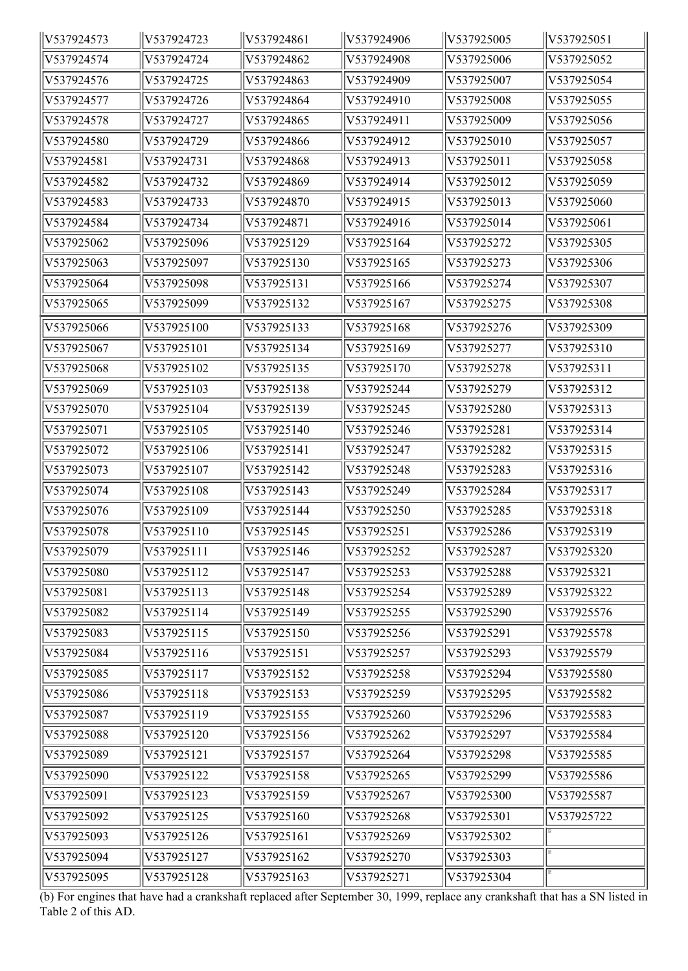| V537924573 | V537924723 | V537924861 | V537924906 | V537925005 | V537925051 |
|------------|------------|------------|------------|------------|------------|
| V537924574 | V537924724 | V537924862 | V537924908 | V537925006 | V537925052 |
| V537924576 | V537924725 | V537924863 | V537924909 | V537925007 | V537925054 |
| V537924577 | V537924726 | V537924864 | V537924910 | V537925008 | V537925055 |
| V537924578 | V537924727 | V537924865 | V537924911 | V537925009 | V537925056 |
| V537924580 | V537924729 | V537924866 | V537924912 | V537925010 | V537925057 |
| V537924581 | V537924731 | V537924868 | V537924913 | V537925011 | V537925058 |
| V537924582 | V537924732 | V537924869 | V537924914 | V537925012 | V537925059 |
| V537924583 | V537924733 | V537924870 | V537924915 | V537925013 | V537925060 |
| V537924584 | V537924734 | V537924871 | V537924916 | V537925014 | V537925061 |
| V537925062 | V537925096 | V537925129 | V537925164 | V537925272 | V537925305 |
| V537925063 | V537925097 | V537925130 | V537925165 | V537925273 | V537925306 |
| V537925064 | V537925098 | V537925131 | V537925166 | V537925274 | V537925307 |
| V537925065 | V537925099 | V537925132 | V537925167 | V537925275 | V537925308 |
| V537925066 | V537925100 | V537925133 | V537925168 | V537925276 | V537925309 |
| V537925067 | V537925101 | V537925134 | V537925169 | V537925277 | V537925310 |
| V537925068 | V537925102 | V537925135 | V537925170 | V537925278 | V537925311 |
| V537925069 | V537925103 | V537925138 | V537925244 | V537925279 | V537925312 |
| V537925070 | V537925104 | V537925139 | V537925245 | V537925280 | V537925313 |
| V537925071 | V537925105 | V537925140 | V537925246 | V537925281 | V537925314 |
| V537925072 | V537925106 | V537925141 | V537925247 | V537925282 | V537925315 |
| V537925073 | V537925107 | V537925142 | V537925248 | V537925283 | V537925316 |
| V537925074 | V537925108 | V537925143 | V537925249 | V537925284 | V537925317 |
| V537925076 | V537925109 | V537925144 | V537925250 | V537925285 | V537925318 |
| V537925078 | V537925110 | V537925145 | V537925251 | V537925286 | V537925319 |
| V537925079 | V537925111 | V537925146 | V537925252 | V537925287 | V537925320 |
| V537925080 | V537925112 | V537925147 | V537925253 | V537925288 | V537925321 |
| V537925081 | V537925113 | V537925148 | V537925254 | V537925289 | V537925322 |
| V537925082 | V537925114 | V537925149 | V537925255 | V537925290 | V537925576 |
| V537925083 | V537925115 | V537925150 | V537925256 | V537925291 | V537925578 |
| V537925084 | V537925116 | V537925151 | V537925257 | V537925293 | V537925579 |
| V537925085 | V537925117 | V537925152 | V537925258 | V537925294 | V537925580 |
| V537925086 | V537925118 | V537925153 | V537925259 | V537925295 | V537925582 |
| V537925087 | V537925119 | V537925155 | V537925260 | V537925296 | V537925583 |
| V537925088 | V537925120 | V537925156 | V537925262 | V537925297 | V537925584 |
| V537925089 | V537925121 | V537925157 | V537925264 | V537925298 | V537925585 |
| V537925090 | V537925122 | V537925158 | V537925265 | V537925299 | V537925586 |
| V537925091 | V537925123 | V537925159 | V537925267 | V537925300 | V537925587 |
| V537925092 | V537925125 | V537925160 | V537925268 | V537925301 | V537925722 |
| V537925093 | V537925126 | V537925161 | V537925269 | V537925302 |            |
| V537925094 | V537925127 | V537925162 | V537925270 | V537925303 |            |
| V537925095 | V537925128 | V537925163 | V537925271 | V537925304 |            |

(b) For engines that have had a crankshaft replaced after September 30, 1999, replace any crankshaft that has a SN listed in Table 2 of this AD.